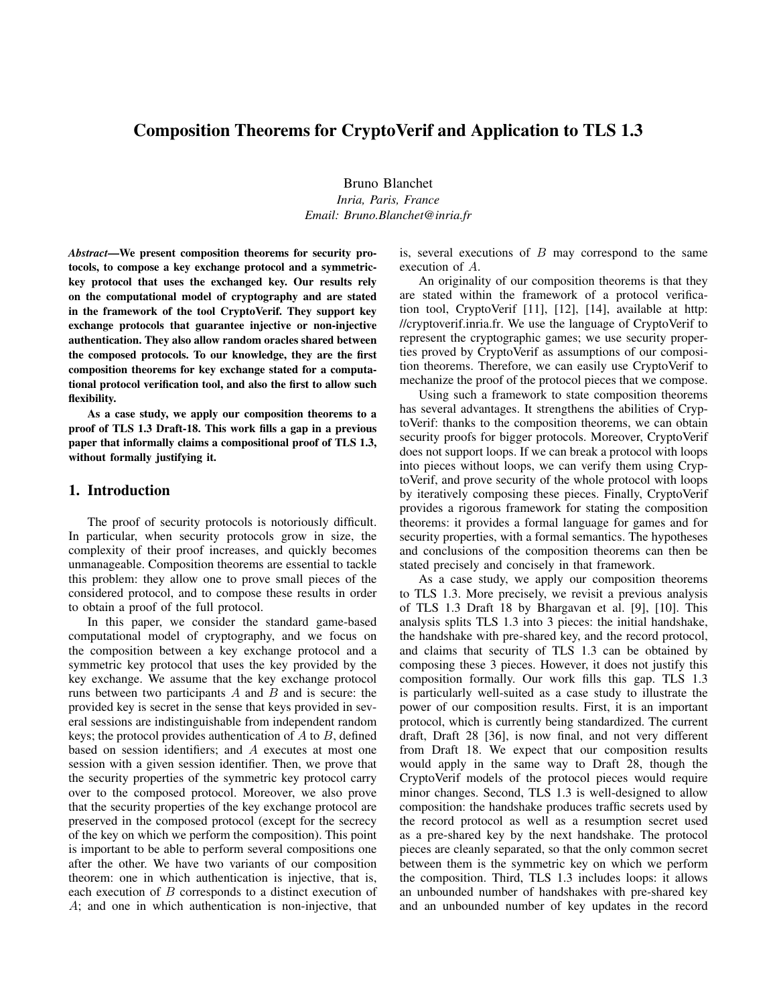# Composition Theorems for CryptoVerif and Application to TLS 1.3

Bruno Blanchet *Inria, Paris, France Email: Bruno.Blanchet@inria.fr*

*Abstract*—We present composition theorems for security protocols, to compose a key exchange protocol and a symmetrickey protocol that uses the exchanged key. Our results rely on the computational model of cryptography and are stated in the framework of the tool CryptoVerif. They support key exchange protocols that guarantee injective or non-injective authentication. They also allow random oracles shared between the composed protocols. To our knowledge, they are the first composition theorems for key exchange stated for a computational protocol verification tool, and also the first to allow such flexibility.

As a case study, we apply our composition theorems to a proof of TLS 1.3 Draft-18. This work fills a gap in a previous paper that informally claims a compositional proof of TLS 1.3, without formally justifying it.

# 1. Introduction

The proof of security protocols is notoriously difficult. In particular, when security protocols grow in size, the complexity of their proof increases, and quickly becomes unmanageable. Composition theorems are essential to tackle this problem: they allow one to prove small pieces of the considered protocol, and to compose these results in order to obtain a proof of the full protocol.

In this paper, we consider the standard game-based computational model of cryptography, and we focus on the composition between a key exchange protocol and a symmetric key protocol that uses the key provided by the key exchange. We assume that the key exchange protocol runs between two participants  $A$  and  $B$  and is secure: the provided key is secret in the sense that keys provided in several sessions are indistinguishable from independent random keys; the protocol provides authentication of  $A$  to  $B$ , defined based on session identifiers; and A executes at most one session with a given session identifier. Then, we prove that the security properties of the symmetric key protocol carry over to the composed protocol. Moreover, we also prove that the security properties of the key exchange protocol are preserved in the composed protocol (except for the secrecy of the key on which we perform the composition). This point is important to be able to perform several compositions one after the other. We have two variants of our composition theorem: one in which authentication is injective, that is, each execution of B corresponds to a distinct execution of A; and one in which authentication is non-injective, that is, several executions of  $B$  may correspond to the same execution of A.

An originality of our composition theorems is that they are stated within the framework of a protocol verification tool, CryptoVerif [11], [12], [14], available at http: //cryptoverif.inria.fr. We use the language of CryptoVerif to represent the cryptographic games; we use security properties proved by CryptoVerif as assumptions of our composition theorems. Therefore, we can easily use CryptoVerif to mechanize the proof of the protocol pieces that we compose.

Using such a framework to state composition theorems has several advantages. It strengthens the abilities of CryptoVerif: thanks to the composition theorems, we can obtain security proofs for bigger protocols. Moreover, CryptoVerif does not support loops. If we can break a protocol with loops into pieces without loops, we can verify them using CryptoVerif, and prove security of the whole protocol with loops by iteratively composing these pieces. Finally, CryptoVerif provides a rigorous framework for stating the composition theorems: it provides a formal language for games and for security properties, with a formal semantics. The hypotheses and conclusions of the composition theorems can then be stated precisely and concisely in that framework.

As a case study, we apply our composition theorems to TLS 1.3. More precisely, we revisit a previous analysis of TLS 1.3 Draft 18 by Bhargavan et al. [9], [10]. This analysis splits TLS 1.3 into 3 pieces: the initial handshake, the handshake with pre-shared key, and the record protocol, and claims that security of TLS 1.3 can be obtained by composing these 3 pieces. However, it does not justify this composition formally. Our work fills this gap. TLS 1.3 is particularly well-suited as a case study to illustrate the power of our composition results. First, it is an important protocol, which is currently being standardized. The current draft, Draft 28 [36], is now final, and not very different from Draft 18. We expect that our composition results would apply in the same way to Draft 28, though the CryptoVerif models of the protocol pieces would require minor changes. Second, TLS 1.3 is well-designed to allow composition: the handshake produces traffic secrets used by the record protocol as well as a resumption secret used as a pre-shared key by the next handshake. The protocol pieces are cleanly separated, so that the only common secret between them is the symmetric key on which we perform the composition. Third, TLS 1.3 includes loops: it allows an unbounded number of handshakes with pre-shared key and an unbounded number of key updates in the record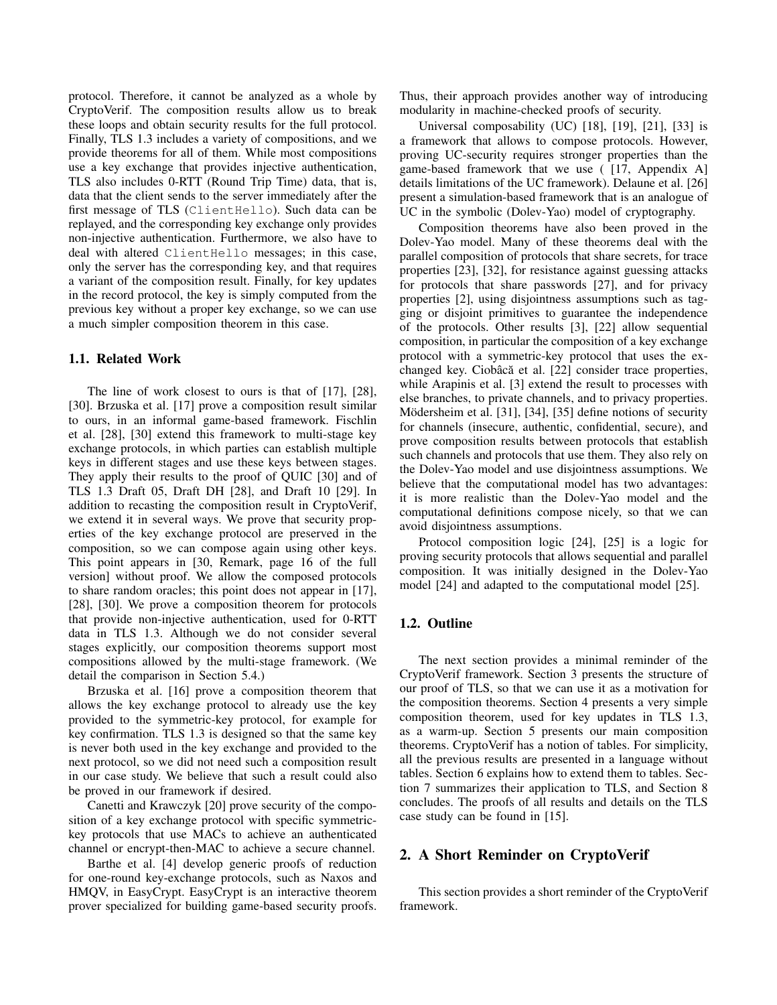protocol. Therefore, it cannot be analyzed as a whole by CryptoVerif. The composition results allow us to break these loops and obtain security results for the full protocol. Finally, TLS 1.3 includes a variety of compositions, and we provide theorems for all of them. While most compositions use a key exchange that provides injective authentication, TLS also includes 0-RTT (Round Trip Time) data, that is, data that the client sends to the server immediately after the first message of TLS (ClientHello). Such data can be replayed, and the corresponding key exchange only provides non-injective authentication. Furthermore, we also have to deal with altered ClientHello messages; in this case, only the server has the corresponding key, and that requires a variant of the composition result. Finally, for key updates in the record protocol, the key is simply computed from the previous key without a proper key exchange, so we can use a much simpler composition theorem in this case.

#### 1.1. Related Work

The line of work closest to ours is that of [17], [28], [30]. Brzuska et al. [17] prove a composition result similar to ours, in an informal game-based framework. Fischlin et al. [28], [30] extend this framework to multi-stage key exchange protocols, in which parties can establish multiple keys in different stages and use these keys between stages. They apply their results to the proof of QUIC [30] and of TLS 1.3 Draft 05, Draft DH [28], and Draft 10 [29]. In addition to recasting the composition result in CryptoVerif, we extend it in several ways. We prove that security properties of the key exchange protocol are preserved in the composition, so we can compose again using other keys. This point appears in [30, Remark, page 16 of the full version] without proof. We allow the composed protocols to share random oracles; this point does not appear in [17], [28], [30]. We prove a composition theorem for protocols that provide non-injective authentication, used for 0-RTT data in TLS 1.3. Although we do not consider several stages explicitly, our composition theorems support most compositions allowed by the multi-stage framework. (We detail the comparison in Section 5.4.)

Brzuska et al. [16] prove a composition theorem that allows the key exchange protocol to already use the key provided to the symmetric-key protocol, for example for key confirmation. TLS 1.3 is designed so that the same key is never both used in the key exchange and provided to the next protocol, so we did not need such a composition result in our case study. We believe that such a result could also be proved in our framework if desired.

Canetti and Krawczyk [20] prove security of the composition of a key exchange protocol with specific symmetrickey protocols that use MACs to achieve an authenticated channel or encrypt-then-MAC to achieve a secure channel.

Barthe et al. [4] develop generic proofs of reduction for one-round key-exchange protocols, such as Naxos and HMQV, in EasyCrypt. EasyCrypt is an interactive theorem prover specialized for building game-based security proofs. Thus, their approach provides another way of introducing modularity in machine-checked proofs of security.

Universal composability (UC) [18], [19], [21], [33] is a framework that allows to compose protocols. However, proving UC-security requires stronger properties than the game-based framework that we use ( [17, Appendix A] details limitations of the UC framework). Delaune et al. [26] present a simulation-based framework that is an analogue of UC in the symbolic (Dolev-Yao) model of cryptography.

Composition theorems have also been proved in the Dolev-Yao model. Many of these theorems deal with the parallel composition of protocols that share secrets, for trace properties [23], [32], for resistance against guessing attacks for protocols that share passwords [27], and for privacy properties [2], using disjointness assumptions such as tagging or disjoint primitives to guarantee the independence of the protocols. Other results [3], [22] allow sequential composition, in particular the composition of a key exchange protocol with a symmetric-key protocol that uses the exchanged key. Ciobâcă et al. [22] consider trace properties, while Arapinis et al. [3] extend the result to processes with else branches, to private channels, and to privacy properties. Mödersheim et al. [31], [34], [35] define notions of security for channels (insecure, authentic, confidential, secure), and prove composition results between protocols that establish such channels and protocols that use them. They also rely on the Dolev-Yao model and use disjointness assumptions. We believe that the computational model has two advantages: it is more realistic than the Dolev-Yao model and the computational definitions compose nicely, so that we can avoid disjointness assumptions.

Protocol composition logic [24], [25] is a logic for proving security protocols that allows sequential and parallel composition. It was initially designed in the Dolev-Yao model [24] and adapted to the computational model [25].

### 1.2. Outline

The next section provides a minimal reminder of the CryptoVerif framework. Section 3 presents the structure of our proof of TLS, so that we can use it as a motivation for the composition theorems. Section 4 presents a very simple composition theorem, used for key updates in TLS 1.3, as a warm-up. Section 5 presents our main composition theorems. CryptoVerif has a notion of tables. For simplicity, all the previous results are presented in a language without tables. Section 6 explains how to extend them to tables. Section 7 summarizes their application to TLS, and Section 8 concludes. The proofs of all results and details on the TLS case study can be found in [15].

# 2. A Short Reminder on CryptoVerif

This section provides a short reminder of the CryptoVerif framework.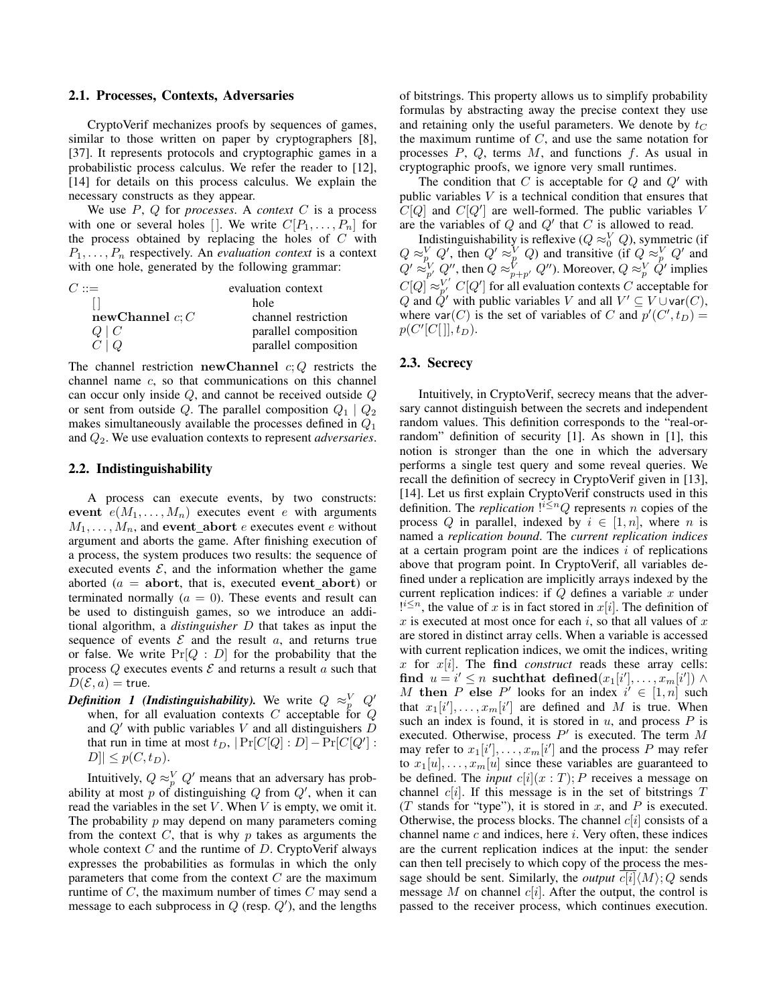#### 2.1. Processes, Contexts, Adversaries

CryptoVerif mechanizes proofs by sequences of games, similar to those written on paper by cryptographers [8], [37]. It represents protocols and cryptographic games in a probabilistic process calculus. We refer the reader to [12], [14] for details on this process calculus. We explain the necessary constructs as they appear.

We use P, Q for *processes*. A *context* C is a process with one or several holes []. We write  $C[P_1, \ldots, P_n]$  for the process obtained by replacing the holes of  $C$  with  $P_1, \ldots, P_n$  respectively. An *evaluation context* is a context with one hole, generated by the following grammar:

| $C ::=$           | evaluation context   |
|-------------------|----------------------|
|                   | hole                 |
| newChannel $c; C$ | channel restriction  |
| $Q \mid C$        | parallel composition |
|                   | parallel composition |

The channel restriction newChannel  $c; Q$  restricts the channel name c, so that communications on this channel can occur only inside Q, and cannot be received outside Q or sent from outside Q. The parallel composition  $Q_1 | Q_2$ makes simultaneously available the processes defined in  $Q_1$ and Q2. We use evaluation contexts to represent *adversaries*.

#### 2.2. Indistinguishability

A process can execute events, by two constructs: event  $e(M_1, \ldots, M_n)$  executes event e with arguments  $M_1, \ldots, M_n$ , and event\_abort e executes event e without argument and aborts the game. After finishing execution of a process, the system produces two results: the sequence of executed events  $\mathcal{E}$ , and the information whether the game aborted ( $a =$ abort, that is, executed event\_abort) or terminated normally  $(a = 0)$ . These events and result can be used to distinguish games, so we introduce an additional algorithm, a *distinguisher* D that takes as input the sequence of events  $\mathcal E$  and the result a, and returns true or false. We write  $Pr[Q : D]$  for the probability that the process  $Q$  executes events  $E$  and returns a result  $a$  such that  $D(\mathcal{E}, a) =$  true.

*Definition 1 (Indistinguishability).* We write  $Q \approx_p^V Q'$ when, for all evaluation contexts  $C$  acceptable for  $Q$ and  $Q'$  with public variables V and all distinguishers  $D$ that run in time at most  $t_D$ ,  $|\Pr[C[Q]:D] - \Pr[C[Q']$ :  $D|| \leq p(C, t_D).$ 

Intuitively,  $Q \approx_p^V Q'$  means that an adversary has probability at most p of distinguishing Q from  $Q'$ , when it can read the variables in the set  $V$ . When  $V$  is empty, we omit it. The probability  $p$  may depend on many parameters coming from the context  $C$ , that is why  $p$  takes as arguments the whole context  $C$  and the runtime of  $D$ . CryptoVerif always expresses the probabilities as formulas in which the only parameters that come from the context  $C$  are the maximum runtime of  $C$ , the maximum number of times  $C$  may send a message to each subprocess in  $Q$  (resp.  $Q'$ ), and the lengths

of bitstrings. This property allows us to simplify probability formulas by abstracting away the precise context they use and retaining only the useful parameters. We denote by  $t_C$ the maximum runtime of  $C$ , and use the same notation for processes  $P$ ,  $Q$ , terms  $M$ , and functions  $f$ . As usual in cryptographic proofs, we ignore very small runtimes.

The condition that  $C$  is acceptable for  $Q$  and  $Q'$  with public variables  $V$  is a technical condition that ensures that  $C[Q]$  and  $C[Q']$  are well-formed. The public variables V are the variables of  $Q$  and  $Q'$  that  $C$  is allowed to read.

Indistinguishability is reflexive ( $Q \approx_{0}^{V} Q$ ), symmetric (if  $Q \approx_p^V Q'$ , then  $Q' \approx_p^V Q$ ) and transitive (if  $Q \approx_p^V Q'$  and  $Q' \approx_{p}^{V} Q''$ , then  $Q \approx_{p+p'}^{V} Q''$ ). Moreover,  $Q \approx_{p}^{V} Q'$  implies  $C[Q] \approx_{p'}^{V'} C[Q']$  for all evaluation contexts C acceptable for Q and  $\tilde{Q}'$  with public variables V and all  $V' \subseteq V \cup \text{var}(C)$ , where var(C) is the set of variables of C and  $p'(C', t_D) =$  $p(C'[C[\,]], t_D).$ 

#### 2.3. Secrecy

Intuitively, in CryptoVerif, secrecy means that the adversary cannot distinguish between the secrets and independent random values. This definition corresponds to the "real-orrandom" definition of security [1]. As shown in [1], this notion is stronger than the one in which the adversary performs a single test query and some reveal queries. We recall the definition of secrecy in CryptoVerif given in [13], [14]. Let us first explain CryptoVerif constructs used in this definition. The *replication*  $1^{i \leq n}Q$  represents *n* copies of the process Q in parallel, indexed by  $i \in [1, n]$ , where n is named a *replication bound*. The *current replication indices* at a certain program point are the indices  $i$  of replications above that program point. In CryptoVerif, all variables defined under a replication are implicitly arrays indexed by the current replication indices: if  $Q$  defines a variable  $x$  under  $e^{i\leq n}$ , the value of x is in fact stored in  $x[i]$ . The definition of x is executed at most once for each  $i$ , so that all values of  $x$ are stored in distinct array cells. When a variable is accessed with current replication indices, we omit the indices, writing  $x$  for  $x[i]$ . The find *construct* reads these array cells: find  $u = i' \leq n$  such that defined  $(x_1[i'], \ldots, x_m[i']) \wedge$ M then P else P' looks for an index  $i' \in [1, n]$  such that  $x_1[i'], \ldots, x_m[i']$  are defined and M is true. When such an index is found, it is stored in  $u$ , and process  $P$  is executed. Otherwise, process  $P'$  is executed. The term M may refer to  $x_1[i'], \ldots, x_m[i']$  and the process P may refer to  $x_1[u], \ldots, x_m[u]$  since these variables are guaranteed to be defined. The *input*  $c[i](x : T)$ ; P receives a message on channel  $c[i]$ . If this message is in the set of bitstrings  $T$ (T stands for "type"), it is stored in  $x$ , and  $P$  is executed. Otherwise, the process blocks. The channel  $c[i]$  consists of a channel name  $c$  and indices, here  $i$ . Very often, these indices are the current replication indices at the input: the sender can then tell precisely to which copy of the process the message should be sent. Similarly, the *output*  $c[i]\langle M\rangle; Q$  sends message  $M$  on channel  $c[i]$ . After the output, the control is passed to the receiver process, which continues execution.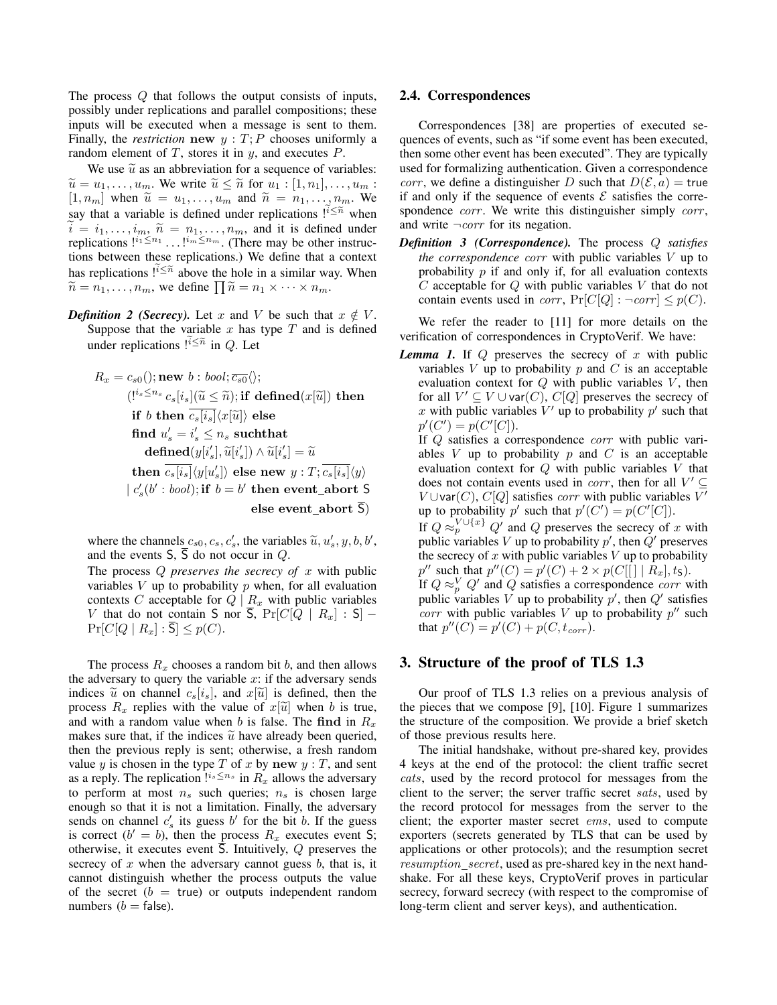The process Q that follows the output consists of inputs, possibly under replications and parallel compositions; these inputs will be executed when a message is sent to them. Finally, the *restriction* new  $y : T$ ; P chooses uniformly a random element of  $T$ , stores it in  $y$ , and executes  $P$ .

We use  $\tilde{u}$  as an abbreviation for a sequence of variables:  $\widetilde{u} = u_1, \ldots, u_m$ . We write  $\widetilde{u} \leq \widetilde{n}$  for  $u_1 : [1, n_1], \ldots, u_m$ :  $[1, n_m]$  when  $\tilde{u} = u_1, \ldots, u_m$  and  $\tilde{n} = n_1, \ldots, n_m$ . We say that a variable is defined under replications  $!^{i \leq \tilde{n}}$  when  $i = i_1, \ldots, i_m, \, \widetilde{n} = n_1, \ldots, n_m$ , and it is defined under replications  $i^{i_1 \leq n_1} \ldots i^{i_m \leq n_m}$ . (There may be other instructions between these replications.) We define that a context has replications  $!^{i \leq \tilde{n}}$  above the hole in a similar way. When  $\widetilde{n} = n_1, \dots, n_m$ , we define  $\prod \widetilde{n} = n_1 \times \dots \times n_m$ .

*Definition 2 (Secrecy).* Let x and V be such that  $x \notin V$ . Suppose that the variable  $x$  has type  $T$  and is defined under replications  $!^{i \leq \tilde{n}}$  in Q. Let

$$
R_x = c_{s0}(); \text{new } b: \text{bool}; \overline{c_{s0}}\langle);
$$
  
\n
$$
(!^{i_s \le n_s} c_s[i_s](\widetilde{u} \le \widetilde{n}); \text{if defined}(x[\widetilde{u}]) \text{ then}
$$
  
\nif b then  $\overline{c_s[i_s]} \langle x[\widetilde{u}]\rangle$  else  
\nfind  $u'_s = i'_s \le n_s$  such that  
\ndefined $(y[i'_s], \widetilde{u}[i'_s]) \wedge \widetilde{u}[i'_s] = \widetilde{u}$   
\nthen  $\overline{c_s[i_s]} \langle y[u'_s] \rangle$  else new  $y : T; \overline{c_s[i_s]} \langle y \rangle$   
\n $| c'_s(b': \text{bool}); \text{if } b = b' \text{ then event\_abort } S$   
\nelse event\_abort  $\overline{S}$ )

where the channels  $c_{s0}, c_s, c'_s$ , the variables  $\tilde{u}, u'_s, y, b, b'$ , and the events  $\overline{S}$ ,  $\overline{S}$  do not occur in  $Q$ .

The process Q *preserves the secrecy of* x with public variables  $V$  up to probability  $p$  when, for all evaluation contexts C acceptable for  $Q | R_x$  with public variables V that do not contain S nor  $\overline{S}$ ,  $Pr[C|Q | R_x] : S]$  –  $Pr[C|Q | R_x] : \overline{S}] \leq p(C).$ 

The process  $R_x$  chooses a random bit b, and then allows the adversary to query the variable  $x$ : if the adversary sends indices  $\tilde{u}$  on channel  $c_s[i_s]$ , and  $x[\tilde{u}]$  is defined, then the process  $R_x$  replies with the value of  $x[\tilde{u}]$  when b is true, and with a random value when b is false. The find in  $R_x$ makes sure that, if the indices  $\tilde{u}$  have already been queried, then the previous reply is sent; otherwise, a fresh random value y is chosen in the type T of x by new  $y : T$ , and sent as a reply. The replication  $1^{i_s \leq n_s}$  in  $R_x$  allows the adversary to perform at most  $n_s$  such queries;  $n_s$  is chosen large enough so that it is not a limitation. Finally, the adversary sends on channel  $c'_s$  its guess  $b'$  for the bit b. If the guess is correct  $(b' = b)$ , then the process  $R_x$  executes event S; otherwise, it executes event  $\overline{S}$ . Intuitively,  $Q$  preserves the secrecy of  $x$  when the adversary cannot guess  $b$ , that is, it cannot distinguish whether the process outputs the value of the secret ( $b = \text{true}$ ) or outputs independent random numbers ( $b = false$ ).

#### 2.4. Correspondences

Correspondences [38] are properties of executed sequences of events, such as "if some event has been executed, then some other event has been executed". They are typically used for formalizing authentication. Given a correspondence *corr*, we define a distinguisher D such that  $D(\mathcal{E}, a) =$  true if and only if the sequence of events  $\mathcal E$  satisfies the correspondence *corr*. We write this distinguisher simply *corr*, and write  $\neg corr$  for its negation.

*Definition 3 (Correspondence).* The process Q *satisfies the correspondence* corr with public variables V up to probability  $p$  if and only if, for all evaluation contexts  $C$  acceptable for  $Q$  with public variables  $V$  that do not contain events used in *corr*,  $Pr[C|Q] : \neg corr] \leq p(C)$ .

We refer the reader to [11] for more details on the verification of correspondences in CryptoVerif. We have:

*Lemma 1.* If  $Q$  preserves the secrecy of  $x$  with public variables  $V$  up to probability  $p$  and  $C$  is an acceptable evaluation context for  $Q$  with public variables  $V$ , then for all  $V' \subseteq V \cup \text{var}(C)$ ,  $C[Q]$  preserves the secrecy of x with public variables  $V'$  up to probability  $p'$  such that  $p'(C') = p(C'[C]).$ 

If Q satisfies a correspondence corr with public variables  $V$  up to probability  $p$  and  $C$  is an acceptable evaluation context for  $Q$  with public variables  $V$  that does not contain events used in *corr*, then for all  $V' \subseteq$  $V \cup \text{var}(C)$ ,  $C[Q]$  satisfies *corr* with public variables  $V'$ up to probability p' such that  $p'(C') = p(C'[C])$ .

If  $Q \approx_p^{\sqrt{U(x)}} Q'$  and Q preserves the secrecy of x with public variables V up to probability  $p'$ , then  $\dot{Q}'$  preserves the secrecy of  $x$  with public variables  $V$  up to probability  $p''$  such that  $p''(C) = p'(C) + 2 \times p(C[[\cdot || R_x], t_S)).$ If  $Q \approx_{p}^{V} Q'$  and  $Q$  satisfies a correspondence *corr* with public variables V up to probability  $p'$ , then  $Q'$  satisfies *corr* with public variables  $V$  up to probability  $p''$  such that  $p''(C) = p'(C) + p(C, t_{corr}).$ 

# 3. Structure of the proof of TLS 1.3

Our proof of TLS 1.3 relies on a previous analysis of the pieces that we compose [9], [10]. Figure 1 summarizes the structure of the composition. We provide a brief sketch of those previous results here.

The initial handshake, without pre-shared key, provides 4 keys at the end of the protocol: the client traffic secret cats, used by the record protocol for messages from the client to the server; the server traffic secret sats, used by the record protocol for messages from the server to the client; the exporter master secret ems, used to compute exporters (secrets generated by TLS that can be used by applications or other protocols); and the resumption secret resumption\_secret, used as pre-shared key in the next handshake. For all these keys, CryptoVerif proves in particular secrecy, forward secrecy (with respect to the compromise of long-term client and server keys), and authentication.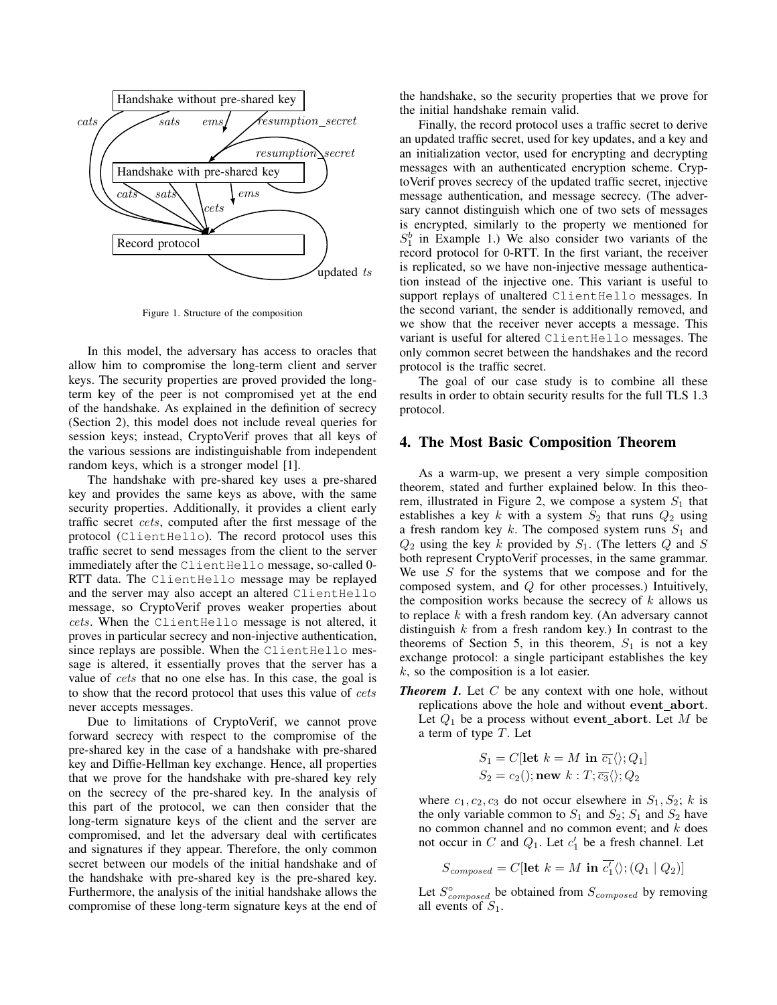

Figure 1. Structure of the composition

In this model, the adversary has access to oracles that allow him to compromise the long-term client and server keys. The security properties are proved provided the longterm key of the peer is not compromised yet at the end of the handshake. As explained in the definition of secrecy (Section 2), this model does not include reveal queries for session keys; instead, CryptoVerif proves that all keys of the various sessions are indistinguishable from independent random keys, which is a stronger model [1].

The handshake with pre-shared key uses a pre-shared key and provides the same keys as above, with the same security properties. Additionally, it provides a client early traffic secret cets, computed after the first message of the protocol (ClientHello). The record protocol uses this traffic secret to send messages from the client to the server immediately after the ClientHello message, so-called 0- RTT data. The ClientHello message may be replayed and the server may also accept an altered ClientHello message, so CryptoVerif proves weaker properties about cets. When the ClientHello message is not altered, it proves in particular secrecy and non-injective authentication, since replays are possible. When the ClientHello message is altered, it essentially proves that the server has a value of cets that no one else has. In this case, the goal is to show that the record protocol that uses this value of cets never accepts messages.

Due to limitations of CryptoVerif, we cannot prove forward secrecy with respect to the compromise of the pre-shared key in the case of a handshake with pre-shared key and Diffie-Hellman key exchange. Hence, all properties that we prove for the handshake with pre-shared key rely on the secrecy of the pre-shared key. In the analysis of this part of the protocol, we can then consider that the long-term signature keys of the client and the server are compromised, and let the adversary deal with certificates and signatures if they appear. Therefore, the only common secret between our models of the initial handshake and of the handshake with pre-shared key is the pre-shared key. Furthermore, the analysis of the initial handshake allows the compromise of these long-term signature keys at the end of the handshake, so the security properties that we prove for the initial handshake remain valid.

Finally, the record protocol uses a traffic secret to derive an updated traffic secret, used for key updates, and a key and an initialization vector, used for encrypting and decrypting messages with an authenticated encryption scheme. CryptoVerif proves secrecy of the updated traffic secret, injective message authentication, and message secrecy. (The adversary cannot distinguish which one of two sets of messages is encrypted, similarly to the property we mentioned for  $S_1^b$  in Example 1.) We also consider two variants of the record protocol for 0-RTT. In the first variant, the receiver is replicated, so we have non-injective message authentication instead of the injective one. This variant is useful to support replays of unaltered ClientHello messages. In the second variant, the sender is additionally removed, and we show that the receiver never accepts a message. This variant is useful for altered ClientHello messages. The only common secret between the handshakes and the record protocol is the traffic secret.

The goal of our case study is to combine all these results in order to obtain security results for the full TLS 1.3 protocol.

# 4. The Most Basic Composition Theorem

As a warm-up, we present a very simple composition theorem, stated and further explained below. In this theorem, illustrated in Figure 2, we compose a system  $S_1$  that establishes a key k with a system  $S_2$  that runs  $Q_2$  using a fresh random key  $k$ . The composed system runs  $S_1$  and  $Q_2$  using the key k provided by  $S_1$ . (The letters Q and S both represent CryptoVerif processes, in the same grammar. We use  $S$  for the systems that we compose and for the composed system, and Q for other processes.) Intuitively, the composition works because the secrecy of  $k$  allows us to replace  $k$  with a fresh random key. (An adversary cannot distinguish  $k$  from a fresh random key.) In contrast to the theorems of Section 5, in this theorem,  $S_1$  is not a key exchange protocol: a single participant establishes the key  $k$ , so the composition is a lot easier.

**Theorem 1.** Let C be any context with one hole, without replications above the hole and without event abort. Let  $Q_1$  be a process without event\_abort. Let M be a term of type T. Let

$$
S_1 = C[\text{let } k = M \text{ in } \overline{c_1} \langle \rangle; Q_1]
$$
  

$$
S_2 = c_2(); \text{ new } k : T; \overline{c_3} \langle \rangle; Q_2
$$

where  $c_1, c_2, c_3$  do not occur elsewhere in  $S_1, S_2$ ; k is the only variable common to  $S_1$  and  $S_2$ ;  $S_1$  and  $S_2$  have no common channel and no common event; and k does not occur in C and  $Q_1$ . Let  $c'_1$  be a fresh channel. Let

$$
S_{\textit{composed}} = C[\textbf{let } k = M \textbf{ in } \overline{c'_1} \langle \rangle; (Q_1 \mid Q_2)]
$$

Let  $S_{composed}^{\circ}$  be obtained from  $S_{composed}$  by removing all events of  $S_1$ .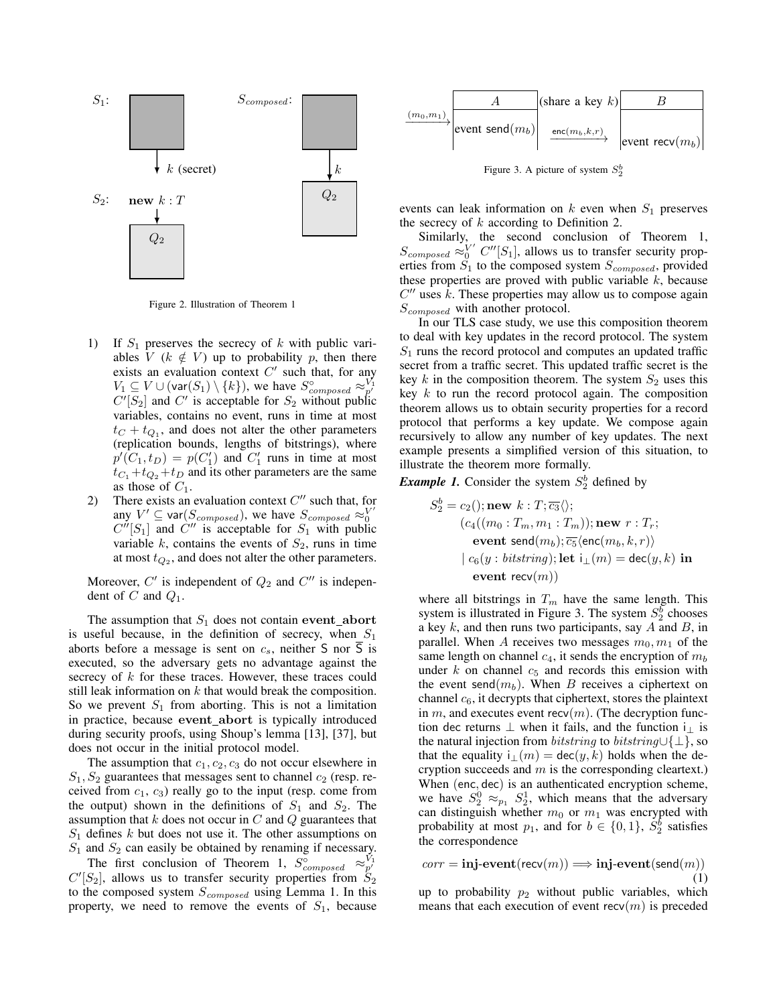

Figure 2. Illustration of Theorem 1

- 1) If  $S_1$  preserves the secrecy of k with public variables  $V$  ( $k \notin V$ ) up to probability p, then there exists an evaluation context  $C'$  such that, for any  $V_1 \subseteq V \cup (\text{var}(S_1) \setminus \{k\}),$  we have  $S_{composed}^{\circ} \approx_{p'}^{V_1}$  $C'[S_2]$  and  $C'$  is acceptable for  $S_2$  without public variables, contains no event, runs in time at most  $t_C + t_{Q_1}$ , and does not alter the other parameters (replication bounds, lengths of bitstrings), where  $p'(C_1, t_D) = p(C'_1)$  and  $C'_1$  runs in time at most  $t_{C_1}+t_{Q_2}+t_D$  and its other parameters are the same as those of  $C_1$ .
- 2) There exists an evaluation context  $C''$  such that, for any  $V' \subseteq \text{var}(S_{composed})$ , we have  $S_{composed} \approx_0^{V'}$ <br> $C''[S_1]$  and  $C''$  is acceptable for  $S_1$  with public variable  $k$ , contains the events of  $S_2$ , runs in time at most  $t_{Q_2}$ , and does not alter the other parameters.

Moreover,  $C'$  is independent of  $Q_2$  and  $C''$  is independent of C and  $Q_1$ .

The assumption that  $S_1$  does not contain event\_abort is useful because, in the definition of secrecy, when  $S_1$ aborts before a message is sent on  $c_s$ , neither S nor S is executed, so the adversary gets no advantage against the secrecy of  $k$  for these traces. However, these traces could still leak information on  $k$  that would break the composition. So we prevent  $S_1$  from aborting. This is not a limitation in practice, because event abort is typically introduced during security proofs, using Shoup's lemma [13], [37], but does not occur in the initial protocol model.

The assumption that  $c_1, c_2, c_3$  do not occur elsewhere in  $S_1, S_2$  guarantees that messages sent to channel  $c_2$  (resp. received from  $c_1$ ,  $c_3$ ) really go to the input (resp. come from the output) shown in the definitions of  $S_1$  and  $S_2$ . The assumption that k does not occur in  $C$  and  $Q$  guarantees that  $S_1$  defines k but does not use it. The other assumptions on  $S_1$  and  $S_2$  can easily be obtained by renaming if necessary.

The first conclusion of Theorem 1,  $S_{composed}^{\circ} \approx_{p'}^{V_1} S_2$ , allows us to transfer security properties from  $S_2$ to the composed system  $S_{composed}$  using Lemma 1. In this property, we need to remove the events of  $S_1$ , because



Figure 3. A picture of system  $S_2^b$ 

events can leak information on  $k$  even when  $S_1$  preserves the secrecy of  $k$  according to Definition 2.

Similarly, the second conclusion of Theorem 1,  $S_{composed} \approx_{0}^{V'} C''[S_1]$ , allows us to transfer security properties from  $S_1$  to the composed system  $S_{composed}$ , provided these properties are proved with public variable  $k$ , because  $C''$  uses  $\overline{k}$ . These properties may allow us to compose again S<sub>composed</sub> with another protocol.

In our TLS case study, we use this composition theorem to deal with key updates in the record protocol. The system  $S_1$  runs the record protocol and computes an updated traffic secret from a traffic secret. This updated traffic secret is the key  $k$  in the composition theorem. The system  $S_2$  uses this key  $k$  to run the record protocol again. The composition theorem allows us to obtain security properties for a record protocol that performs a key update. We compose again recursively to allow any number of key updates. The next example presents a simplified version of this situation, to illustrate the theorem more formally.

*Example 1.* Consider the system  $S_2^b$  defined by

$$
S_2^b = c_2(); \text{new } k: T; \overline{c_3} \langle);
$$
  
\n
$$
(c_4((m_0: T_m, m_1: T_m)); \text{new } r: T_r;
$$
  
\n**event send** $(m_b); \overline{c_5} \langle \text{enc}(m_b, k, r) \rangle$   
\n $| c_6(y: bitstring); \text{let } i_{\perp}(m) = \text{dec}(y, k) \text{ in}$   
\n**event recv** $(m))$ 

where all bitstrings in  $T_m$  have the same length. This system is illustrated in Figure 3. The system  $S_2^b$  chooses a key  $k$ , and then runs two participants, say  $A$  and  $B$ , in parallel. When A receives two messages  $m_0, m_1$  of the same length on channel  $c_4$ , it sends the encryption of  $m_b$ under  $k$  on channel  $c<sub>5</sub>$  and records this emission with the event send $(m_b)$ . When B receives a ciphertext on channel  $c_6$ , it decrypts that ciphertext, stores the plaintext in m, and executes event recv $(m)$ . (The decryption function dec returns  $\perp$  when it fails, and the function i<sub>⊥</sub> is the natural injection from *bitstring* to *bitstring*∪{ $\perp$ }, so that the equality  $i_{\perp}(m) = \text{dec}(y, k)$  holds when the decryption succeeds and  $m$  is the corresponding cleartext.) When (enc, dec) is an authenticated encryption scheme, we have  $S_2^0 \approx_{p_1} S_2^1$ , which means that the adversary can distinguish whether  $m_0$  or  $m_1$  was encrypted with probability at most  $p_1$ , and for  $b \in \{0, 1\}$ ,  $\dot{S}_2^b$  satisfies the correspondence

$$
corr = \mathbf{inj\text{-}event}(\mathsf{recv}(m)) \Longrightarrow \mathbf{inj\text{-}event}(\mathsf{send}(m))
$$
\n(1)

up to probability  $p_2$  without public variables, which means that each execution of event recv $(m)$  is preceded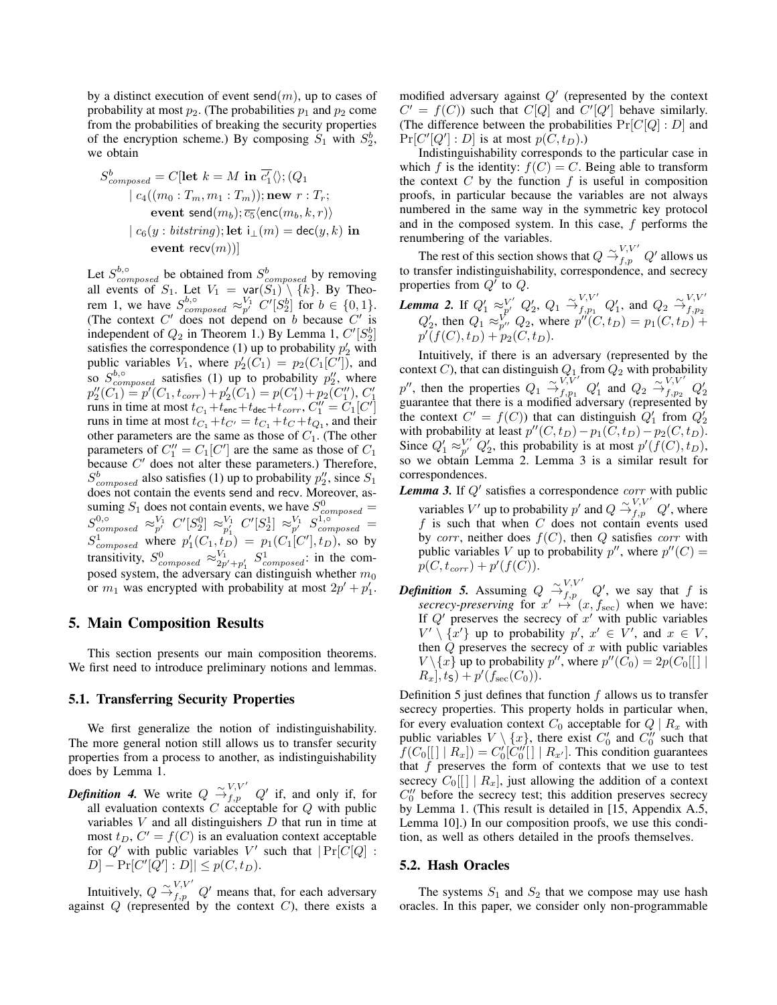by a distinct execution of event send $(m)$ , up to cases of probability at most  $p_2$ . (The probabilities  $p_1$  and  $p_2$  come from the probabilities of breaking the security properties of the encryption scheme.) By composing  $S_1$  with  $S_2^b$ , we obtain

$$
S_{composed}^b = C[\textbf{let } k = M \textbf{ in } \overline{c'_1} \langle \rangle; (Q_1
$$

$$
| c_4((m_0 : T_m, m_1 : T_m)); \textbf{new } r : T_r;
$$

$$
\textbf{event send}(m_b); \overline{c_5} \langle \textbf{enc}(m_b, k, r) \rangle
$$

$$
| c_6(y : bitstring); \textbf{let } i_{\perp}(m) = \textbf{dec}(y, k) \textbf{ in}
$$

$$
\textbf{event } \textbf{recv}(m))]
$$

Let  $S_{composed}^{b, \circ}$  be obtained from  $S_{composed}^b$  by removing all events of  $S_1$ . Let  $V_1 = \text{var}(S_1) \setminus \{k\}$ . By Theorem 1, we have  $S_{composed}^{b,\circ} \approx_{p'}^{V_1} C'[S_2^b]$  for  $b \in \{0,1\}.$ (The context  $C'$  does not depend on b because  $C'$  is independent of  $Q_2$  in Theorem 1.) By Lemma 1,  $C'[S_2^b]$ satisfies the correspondence (1) up to probability  $p'_2$  with public variables  $\hat{V}_1$ , where  $p'_2(\hat{C}_1) = p_2(C_1[\hat{C}'])$ , and so  $S_{composed}^{b,\circ}$  satisfies (1) up to probability  $p_2^{\prime\prime}$ , where  $p_2''(C_1) = p'(C_1, t_{corr}) + p_2'(C_1) = p(C_1') + p_2(C_1''), C_1'$ runs in time at most  $t_{C_1}+t_{enc}+t_{dec}+t_{corr}$ ,  $C_1'' = C_1[C']$ runs in time at most  $t_{C_1} + t_{C'} = t_{C_1} + t_C + t_{Q_1}$ , and their other parameters are the same as those of  $C_1$ . (The other parameters of  $C_1'' = C_1[C']$  are the same as those of  $C_1$ because  $C'$  does not alter these parameters.) Therefore,  $S_{composed}^b$  also satisfies (1) up to probability  $p_2^{\prime\prime}$ , since  $S_1$ does not contain the events send and recv. Moreover, assuming  $S_1$  does not contain events, we have  $S^0_{composed} =$  $S_{composed}^{0,\circ} \approx_{p'}^{V_1} C'[S_2^0] \approx_{p'_1}^{V_1} C'[S_2^1] \approx_{p'}^{V_1} S_{composed}^{1,\circ} =$  $S^1_{\text{composed}}$  where  $p'_1(C_1, t_D) = p_1(C_1[C'], t_D)$ , so by transitivity,  $S^0_{composed} \approx_{2p'+p'_1}^{V_1} S^1_{composed}$  in the composed system, the adversary can distinguish whether  $m_0$ or  $m_1$  was encrypted with probability at most  $2p' + p'_1$ .

### 5. Main Composition Results

This section presents our main composition theorems. We first need to introduce preliminary notions and lemmas.

#### 5.1. Transferring Security Properties

We first generalize the notion of indistinguishability. The more general notion still allows us to transfer security properties from a process to another, as indistinguishability does by Lemma 1.

**Definition 4.** We write  $Q \stackrel{\sim}{\to}_{f,p}^{V,V'} Q'$  if, and only if, for all evaluation contexts  $C$  acceptable for  $Q$  with public variables  $V$  and all distinguishers  $D$  that run in time at most  $t_D$ ,  $C' = f(C)$  is an evaluation context acceptable for  $Q'$  with public variables V' such that  $|Pr[\overline{C}[Q]$ :  $[D] - Pr[C'[Q'] : D]] \leq p(C, t_D).$ 

Intuitively,  $Q \stackrel{\sim}{\rightarrow}_{f,p}^{V,V'} Q'$  means that, for each adversary against  $Q$  (represented by the context  $C$ ), there exists a

modified adversary against  $Q'$  (represented by the context  $C' = f(C)$  such that  $C[Q]$  and  $C'[Q']$  behave similarly. (The difference between the probabilities  $Pr[C|Q] : D]$  and  $Pr[C'[Q'] : D]$  is at most  $p(C, t_D)$ .)

Indistinguishability corresponds to the particular case in which f is the identity:  $f(C) = C$ . Being able to transform the context  $C$  by the function  $f$  is useful in composition proofs, in particular because the variables are not always numbered in the same way in the symmetric key protocol and in the composed system. In this case, f performs the renumbering of the variables.

The rest of this section shows that  $Q \stackrel{\sim}{\rightarrow}_{f,p}^{V,V'} Q'$  allows us to transfer indistinguishability, correspondence, and secrecy properties from  $Q'$  to  $Q$ .

*Lemma 2.* If  $Q'_1 \approx_{p'}^{V'} Q'_2$ ,  $Q_1 \overset{\sim}{\to}_{f,p_1}^{V,V'} Q'_1$ , and  $Q_2 \overset{\sim}{\to}_{f,p_2}^{V,V'}$ *ma* 2. If  $Q_1 \approx_{p'}^V Q_2$ ,  $Q_1 \rightarrow_{f,p_1}^V Q_1$ , and  $Q_2 \rightarrow_{f,p_2}^V Q_2$ , then  $Q_1 \approx_{p'}^V Q_2$ , where  $p''(C, t_D) = p_1(C, t_D) + p_2(C, t_D)$  $p'(f(C), t_D) + p_2(C, t_D).$ 

Intuitively, if there is an adversary (represented by the context C), that can distinguish  $Q_1$  from  $Q_2$  with probability p'', then the properties  $Q_1 \stackrel{\sim}{\rightarrow}_{f,p_1}^{V,V'} Q'_1$  and  $Q_2 \stackrel{\sim}{\rightarrow}_{f,p_2}^{V,V'} Q'_2$ <br>guarantee that there is a modified adversary (represented by the context  $C' = f(C)$ ) that can distinguish  $Q'_1$  from  $Q'_2$ with probability at least  $p''(C, t_D) - p_1(C, t_D) - p_2(C, t_D)$ . Since  $Q'_1 \approx_{p'}^{V'} Q'_2$ , this probability is at most  $p'(f(C), t_D)$ , so we obtain Lemma 2. Lemma 3 is a similar result for correspondences.

- **Lemma 3.** If  $Q'$  satisfies a correspondence corr with public variables V' up to probability p' and  $Q \stackrel{\sim}{\rightarrow}_{f,p}^{V,V'} Q'$ , where f is such that when  $C$  does not contain events used by corr, neither does  $f(C)$ , then Q satisfies corr with public variables V up to probability  $p''$ , where  $p''(C)$  =  $p(C, t_{corr}) + p'(f(C)).$
- **Definition 5.** Assuming  $Q \stackrel{\sim}{\rightarrow}^{V,V'}_{f,p} Q'$ , we say that f is secrecy-preserving for  $x' \mapsto (x, f_{\text{sec}})$  when we have: If  $Q'$  preserves the secrecy of  $x'$  with public variables  $V' \setminus \{x'\}$  up to probability  $p'$ ,  $x' \in V'$ , and  $x \in V$ , then  $Q$  preserves the secrecy of  $x$  with public variables  $V \setminus \{x\}$  up to probability  $p''$ , where  $p''(\tilde{C_0}) = 2p(C_0[[\ ] \ ]$  $R_x$ ,  $t_s$ ) +  $p'(f_{sec}(C_0))$ .

Definition 5 just defines that function  $f$  allows us to transfer secrecy properties. This property holds in particular when, for every evaluation context  $C_0$  acceptable for  $Q | R_x$  with public variables  $V \setminus \{x\}$ , there exist  $C'_0$  and  $C''_0$  such that  $f(C_0[[] | R_x]) = C'_0[\tilde{C}_0''[] | R_{x'}].$  This condition guarantees that  $f$  preserves the form of contexts that we use to test secrecy  $C_0[[] | R_x]$ , just allowing the addition of a context  $C''_0$  before the secrecy test; this addition preserves secrecy by Lemma 1. (This result is detailed in [15, Appendix A.5, Lemma 10].) In our composition proofs, we use this condition, as well as others detailed in the proofs themselves.

# 5.2. Hash Oracles

The systems  $S_1$  and  $S_2$  that we compose may use hash oracles. In this paper, we consider only non-programmable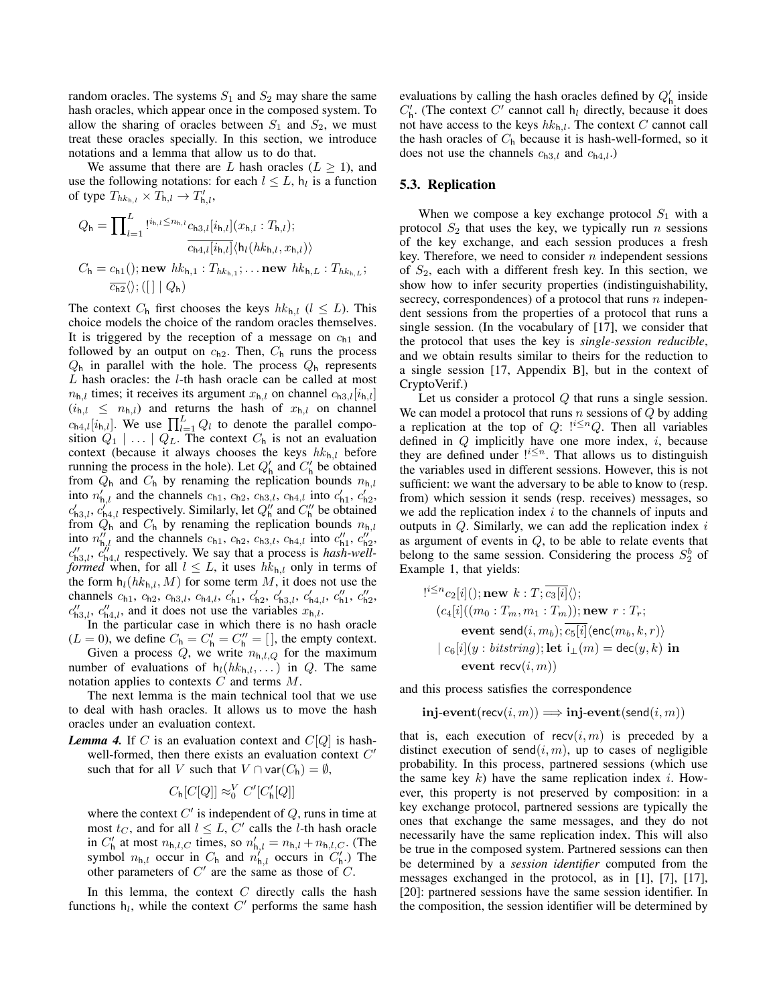random oracles. The systems  $S_1$  and  $S_2$  may share the same hash oracles, which appear once in the composed system. To allow the sharing of oracles between  $S_1$  and  $S_2$ , we must treat these oracles specially. In this section, we introduce notations and a lemma that allow us to do that.

We assume that there are L hash oracles  $(L > 1)$ , and use the following notations: for each  $l \leq L$ ,  $h_l$  is a function of type  $T_{hk_{h,l}} \times T_{h,l} \to T'_{h,l}$ ,

$$
Q_{\mathsf{h}} = \prod_{l=1}^{L} \frac{[i_{\mathsf{h},l} \leq n_{\mathsf{h},l}}{c_{\mathsf{h},l}[i_{\mathsf{h},l}]}(x_{\mathsf{h},l} : T_{\mathsf{h},l});
$$
  
\n
$$
C_{\mathsf{h}} = c_{\mathsf{h}1}(); \mathbf{new} \ hk_{\mathsf{h},1} : T_{hk_{\mathsf{h},1}}; \dots \mathbf{new} \ hk_{\mathsf{h},L} : T_{hk_{\mathsf{h},L}};
$$
  
\n
$$
\frac{C_{\mathsf{h}2}(1)}{C_{\mathsf{h}2}(1)} \cdot (1 \mid Q_{\mathsf{h}})
$$

The context  $C_h$  first chooses the keys  $hk_{h,l}$  ( $l \leq L$ ). This choice models the choice of the random oracles themselves. It is triggered by the reception of a message on  $c_{h1}$  and followed by an output on  $c_{h2}$ . Then,  $C_h$  runs the process  $Q<sub>h</sub>$  in parallel with the hole. The process  $Q<sub>h</sub>$  represents L hash oracles: the l-th hash oracle can be called at most  $n_{h,l}$  times; it receives its argument  $x_{h,l}$  on channel  $c_{h3,l}[i_{h,l}]$  $(i_{h,l} \leq n_{h,l})$  and returns the hash of  $x_{h,l}$  on channel  $c_{h4,l}[i_{h,l}]$ . We use  $\prod_{l=1}^{L} Q_l$  to denote the parallel composition  $Q_1 \mid \ldots \mid Q_L$ . The context  $C_h$  is not an evaluation context (because it always chooses the keys  $hk_{h,l}$  before running the process in the hole). Let  $Q'_{h}$  and  $C'_{h}$  be obtained from  $Q_h$  and  $C_h$  by renaming the replication bounds  $n_{h,l}$ into  $n'_{h,l}$  and the channels  $c_{h1}$ ,  $c_{h2}$ ,  $c_{h3,l}$ ,  $c_{h4,l}$  into  $c'_{h1}$ ,  $c'_{h2}$ ,  $c'_{h3,l}$ ,  $c''_{h4,l}$  respectively. Similarly, let  $Q''_h$  and  $C''_h$  be obtained from  $\ddot{Q}_{h}$  and  $C_{h}$  by renaming the replication bounds  $n_{h,l}$ into  $n''_{h,l}$  and the channels  $c_{h1}$ ,  $c_{h2}$ ,  $c_{h3,l}$ ,  $c_{h4,l}$  into  $c''_{h1}$ ,  $c''_{h2}$ ,  $c''_{h3,l}$ ,  $\overline{c''_{h4,l}}$  respectively. We say that a process is *hash-wellformed* when, for all  $l \leq L$ , it uses  $hk_{h,l}$  only in terms of the form  $h_l(h k_{h,l}, M)$  for some term M, it does not use the channels  $c_{h1}$ ,  $c_{h2}$ ,  $c_{h3,l}$ ,  $c_{h4,l}$ ,  $c'_{h1}$ ,  $c'_{h2}$ ,  $c'_{h3,l}$ ,  $c'_{h4,l}$ ,  $c''_{h1}$ ,  $c''_{h2}$ ,  $c''_{h3,l}$ ,  $c''_{h4,l}$ , and it does not use the variables  $x_{h,l}$ .

In the particular case in which there is no hash oracle  $(L = 0)$ , we define  $C_h = C_h' = C_h'' = []$ , the empty context.

Given a process  $Q$ , we write  $n_{h,l,Q}$  for the maximum number of evaluations of  $h_l(h k_{h,l}, \ldots)$  in Q. The same notation applies to contexts C and terms M.

The next lemma is the main technical tool that we use to deal with hash oracles. It allows us to move the hash oracles under an evaluation context.

*Lemma 4.* If C is an evaluation context and  $C[Q]$  is hashwell-formed, then there exists an evaluation context  $C'$ such that for all V such that  $V \cap \text{var}(C_h) = \emptyset$ ,

$$
C_{\mathsf{h}}[C[Q]] \approx_{0}^{V} C'[C'_{\mathsf{h}}[Q]]
$$

where the context  $C'$  is independent of  $Q$ , runs in time at most  $t_C$ , and for all  $l \leq L$ ,  $C'$  calls the *l*-th hash oracle in  $C'_{h}$  at most  $n_{h,l,C}$  times, so  $n'_{h,l} = n_{h,l} + n_{h,l,C}$ . (The symbol  $n_{h,l}$  occur in  $C_h$  and  $n'_{h,l}$  occurs in  $C'_h$ .) The other parameters of  $C'$  are the same as those of  $C$ .

In this lemma, the context  $C$  directly calls the hash functions  $h_l$ , while the context  $C'$  performs the same hash

evaluations by calling the hash oracles defined by  $Q'_{h}$  inside  $C'_{h}$ . (The context  $C'$  cannot call  $h_l$  directly, because it does not have access to the keys  $hk_{h,l}$ . The context C cannot call the hash oracles of  $C_h$  because it is hash-well-formed, so it does not use the channels  $c_{h3,l}$  and  $c_{h4,l}$ .)

#### 5.3. Replication

When we compose a key exchange protocol  $S_1$  with a protocol  $S_2$  that uses the key, we typically run n sessions of the key exchange, and each session produces a fresh key. Therefore, we need to consider  $n$  independent sessions of  $S_2$ , each with a different fresh key. In this section, we show how to infer security properties (indistinguishability, secrecy, correspondences) of a protocol that runs  $n$  independent sessions from the properties of a protocol that runs a single session. (In the vocabulary of [17], we consider that the protocol that uses the key is *single-session reducible*, and we obtain results similar to theirs for the reduction to a single session [17, Appendix B], but in the context of CryptoVerif.)

Let us consider a protocol Q that runs a single session. We can model a protocol that runs  $n$  sessions of  $Q$  by adding a replication at the top of Q:  $1^{i \leq n}Q$ . Then all variables defined in  $Q$  implicitly have one more index,  $i$ , because they are defined under  $!^{i \leq n}$ . That allows us to distinguish the variables used in different sessions. However, this is not sufficient: we want the adversary to be able to know to (resp. from) which session it sends (resp. receives) messages, so we add the replication index  $i$  to the channels of inputs and outputs in  $Q$ . Similarly, we can add the replication index  $i$ as argument of events in  $Q$ , to be able to relate events that belong to the same session. Considering the process  $S_2^b$  of Example 1, that yields:

$$
I^{i \leq n} c_2[i](); \text{new } k: T; \overline{c_3[i]}\langle \rangle;
$$
  
\n
$$
(c_4[i]((m_0 : T_m, m_1 : T_m)); \text{new } r: T_r;
$$
  
\n
$$
\text{event send}(i, m_b); \overline{c_5[i]} \langle \text{enc}(m_b, k, r) \rangle
$$
  
\n
$$
| c_6[i](y : bitstring); \text{let } i_{\perp}(m) = \text{dec}(y, k) \text{ in}
$$
  
\n
$$
\text{event } \text{recv}(i, m))
$$

and this process satisfies the correspondence

$$
\mathbf{inj}\text{-}\mathbf{event}(\mathsf{recv}(i, m)) \Longrightarrow \mathbf{inj}\text{-}\mathbf{event}(\mathsf{send}(i, m))
$$

that is, each execution of  $rev(i, m)$  is preceded by a distinct execution of send $(i, m)$ , up to cases of negligible probability. In this process, partnered sessions (which use the same key  $k$ ) have the same replication index  $i$ . However, this property is not preserved by composition: in a key exchange protocol, partnered sessions are typically the ones that exchange the same messages, and they do not necessarily have the same replication index. This will also be true in the composed system. Partnered sessions can then be determined by a *session identifier* computed from the messages exchanged in the protocol, as in [1], [7], [17], [20]: partnered sessions have the same session identifier. In the composition, the session identifier will be determined by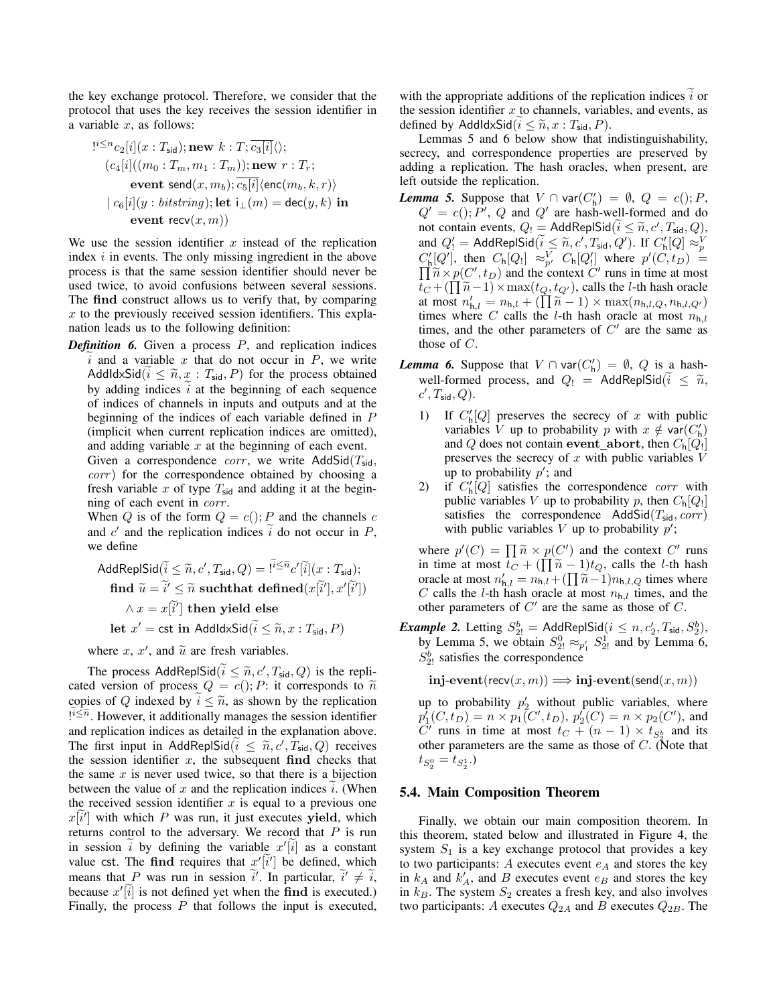the key exchange protocol. Therefore, we consider that the protocol that uses the key receives the session identifier in a variable  $x$ , as follows:

$$
\begin{aligned}\n&\overset{i\leq n}{}\!\!c_2[i](x:T_\mathsf{sid});\mathbf{new}\;k:T;\overline{c_3[i]}\langle\rangle;\\
& (c_4[i]((m_0:T_m,m_1:T_m));\mathbf{new}\;r:T_r;\\&\mathbf{event}\; \mathsf{send}(x,m_b);\overline{c_5[i]}\langle \mathsf{enc}(m_b,k,r)\rangle\\
&\mid c_6[i](y:\textit{bitsring});\mathbf{let}\; \mathsf{i}_\bot(m)=\mathsf{dec}(y,k)\;\mathbf{in}\\&\mathbf{event}\; \mathsf{recv}(x,m))\n\end{aligned}
$$

We use the session identifier  $x$  instead of the replication index  $i$  in events. The only missing ingredient in the above process is that the same session identifier should never be used twice, to avoid confusions between several sessions. The find construct allows us to verify that, by comparing  $x$  to the previously received session identifiers. This explanation leads us to the following definition:

*Definition 6.* Given a process P, and replication indices i and a variable  $x$  that do not occur in  $P$ , we write AddIdxSid( $i \leq \tilde{n}, x : T_{\text{sid}}, P$ ) for the process obtained by adding indices  $i$  at the beginning of each sequence of indices of channels in inputs and outputs and at the beginning of the indices of each variable defined in P (implicit when current replication indices are omitted), and adding variable  $x$  at the beginning of each event. Given a correspondence corr, we write  $AddSid(T_{sid},$ 

corr) for the correspondence obtained by choosing a fresh variable  $x$  of type  $T_{\text{sid}}$  and adding it at the beginning of each event in *corr*.

When Q is of the form  $Q = c($ ; P and the channels c and c' and the replication indices  $\tilde{i}$  do not occur in P, we define

AddRepISid(
$$
\tilde{i} \leq \tilde{n}, c', T_{\text{sid}}, Q) = \frac{1}{2} \tilde{r} c'[\tilde{i}](x : T_{\text{sid}});
$$
  
find  $\tilde{u} = \tilde{i}' \leq \tilde{n}$  such that defined( $x[\tilde{i}'], x'[\tilde{i}'])$   
 $\wedge x = x[\tilde{i}']$  then yield else  
let  $x' = \text{cst in AddldxSid}(\tilde{i} \leq \tilde{n}, x : T_{\text{sid}}, P)$ 

where x, x', and  $\tilde{u}$  are fresh variables.

The process AddReplSid $(\tilde{i} \leq \tilde{n}, c', T_{\text{sid}}, Q)$  is the repli-<br>reduces  $Q = c() \cdot P$  it corresponds to  $\tilde{p}$ cated version of process  $Q = c(); P$ : it corresponds to  $\tilde{n}$ copies of Q indexed by  $\tilde{i} \leq \tilde{n}$ , as shown by the replication  $!^{i \leq \widetilde{n}}$ . However, it additionally manages the session identifier and replication indices as detailed in the explanation above. The first input in AddReplSid $(\tilde{i} \leq \tilde{n}, c', T_{\text{sid}}, Q)$  receives<br>the session identifier x, the subsequent find checks that the session identifier  $x$ , the subsequent find checks that the same  $x$  is never used twice, so that there is a bijection between the value of  $x$  and the replication indices  $i$ . (When the received session identifier  $x$  is equal to a previous one  $x[i']$  with which P was run, it just executes yield, which returns control to the adversary. We record that  $P$  is run in session  $\tilde{i}$  by defining the variable  $x'[\tilde{i}]$  as a constant value cst. The find requires that  $x'[\tilde{i}']$  be defined, which means that P was run in session  $\tilde{i}'$ . In particular,  $\tilde{i}' \neq \tilde{i}$ , because  $x'[\tilde{i}]$  is not defined yet when the find is executed.) Finally, the process  $P$  that follows the input is executed,

with the appropriate additions of the replication indices  $\tilde{i}$  or the session identifier  $x$  to channels, variables, and events, as defined by AddIdxSid( $i \leq \tilde{n}, x : T_{\text{sid}}, P$ ).

Lemmas 5 and 6 below show that indistinguishability, secrecy, and correspondence properties are preserved by adding a replication. The hash oracles, when present, are left outside the replication.

- *Lemma 5.* Suppose that  $V \cap \text{var}(C'_{h}) = \emptyset$ ,  $Q = c(); P$ ,  $Q' = c($ ; P', Q and Q' are hash-well-formed and do not contain events,  $Q_1 = \text{AddRep} \text{Sid}(\tilde{i} \leq \tilde{n}, c', T_{\text{sid}}, Q)$ ,<br>and  $Q' = \text{AddRep} \text{Sid}(\tilde{i} \leq \tilde{n}, c', T_{\text{sc}}, Q')$ . If  $C'$   $[Q] \sim V$ and  $Q'_1$  = AddReplSid $(\tilde{i} \leq \tilde{n}, c', T_{\text{sid}}, Q')$ . If  $C'_{\text{h}}[Q] \approx \tilde{e}^V$ <br> $C'_{\text{h}}[Q']$  then  $C_{\text{h}}[Q] \approx \tilde{e}^V C_{\text{h}}[Q']$  where  $\tilde{e}'(C, t_{\text{h}})$  $C'_{\mathsf{h}}[Q']$ , then  $C_{\mathsf{h}}[Q_!] \approx_{p'}^V C_{\mathsf{h}}[Q'_!]$  where  $p'$  $\Pi$  $(C, t_D) =$  $\tilde{n} \times p(C', t_D)$  and the context C' runs in time at most<br>+( $\Pi \tilde{n}$  -1)  $\times$  max(to to), calls the l-th hash oracle  $t_C + (\prod_{n=1}^{\infty} \tilde{n}-1) \times \max(t_Q, t_{Q'})$ , calls the *l*-th hash oracle<br>at most  $n'_{h,l} = n_{h,l} + (\prod_{n=1}^{\infty} \tilde{n}-1) \times \max(n_{h,l,Q}, n_{h,l,Q'})$ <br>times where C calls the *l*-th hash oracle at most  $n_{h,l}$ times where C calls the l-th hash oracle at most  $n_{h,l}$ times, and the other parameters of  $C'$  are the same as those of  $C$ .
- *Lemma 6.* Suppose that  $V \cap \text{var}(C'_{h}) = \emptyset$ , Q is a hashwell-formed process, and  $Q_1$  = AddReplSid $(i \leq \tilde{n},$  $c', T_{\text{sid}}, Q$ ).
	- 1) If  $C'_{h}[Q]$  preserves the secrecy of x with public variables  $\overline{V}$  up to probability  $p$  with  $x \notin \text{var}(C'_{\mathsf{h}})$ and Q does not contain event\_abort, then  $C_{\mathsf{h}}[Q_!]$ preserves the secrecy of  $x$  with public variables  $V$ up to probability  $p'$ ; and
	- 2) if  $C'_{h}[Q]$  satisfies the correspondence *corr* with public variables V up to probability p, then  $C_h[Q_1]$ satisfies the correspondence AddSid( $T_{\text{sid}}$ , corr) with public variables V up to probability  $p'$ ;

where  $p'(C) = \prod \tilde{n} \times p(C')$  and the context C' runs<br>in time at most  $t_{\Omega} + (\prod \tilde{n} - 1)t_{\Omega}$  calls the l-th hash in time at most  $t_C + (\prod_{i=1}^{\infty} \tilde{n} - 1)t_Q$ , calls the *l*-th hash<br>oracle at most  $n' = n_{L} + (\prod_{i=1}^{\infty} \tilde{n} - 1)n_{L}$  of times where oracle at most  $n'_{h,l} = n_{h,l} + (\prod \tilde{n}-1)n_{h,l,Q}$  times where <br>*C* calls the *l*-th hash oracle at most  $n_{h,l}$  times, and the C calls the *l*-th hash oracle at most  $n_{h,l}$  times, and the other parameters of  $C'$  are the same as those of  $C$ .

*Example 2.* Letting  $S_{2!}^b = \text{AddRepIsid}(i \leq n, c_2', T_{\text{sid}}, S_2^b)$ , by Lemma 5, we obtain  $S_{2}^0 \approx_{p'_1} S_{2}^1$  and by Lemma 6,  $S_{2}^{b}$  satisfies the correspondence

 $\text{inj-event}(\text{recv}(x, m)) \Longrightarrow \text{inj-event}(\text{send}(x, m))$ 

up to probability  $p'_2$  without public variables, where  $p_1(C, t_D) = n \times p_1(C', t_D), p_2(C) = n \times p_2(C')$ , and  $\overline{C}$  runs in time at most  $t_C + (n-1) \times t_{S_2^b}$  and its other parameters are the same as those of  $C$ . (Note that  $t_{S_2^0}=t_{S_2^1}$ .)

#### 5.4. Main Composition Theorem

Finally, we obtain our main composition theorem. In this theorem, stated below and illustrated in Figure 4, the system  $S_1$  is a key exchange protocol that provides a key to two participants:  $A$  executes event  $e_A$  and stores the key in  $k_A$  and  $k'_A$ , and B executes event  $e_B$  and stores the key in  $k_B$ . The system  $S_2$  creates a fresh key, and also involves two participants: A executes  $Q_{2A}$  and B executes  $Q_{2B}$ . The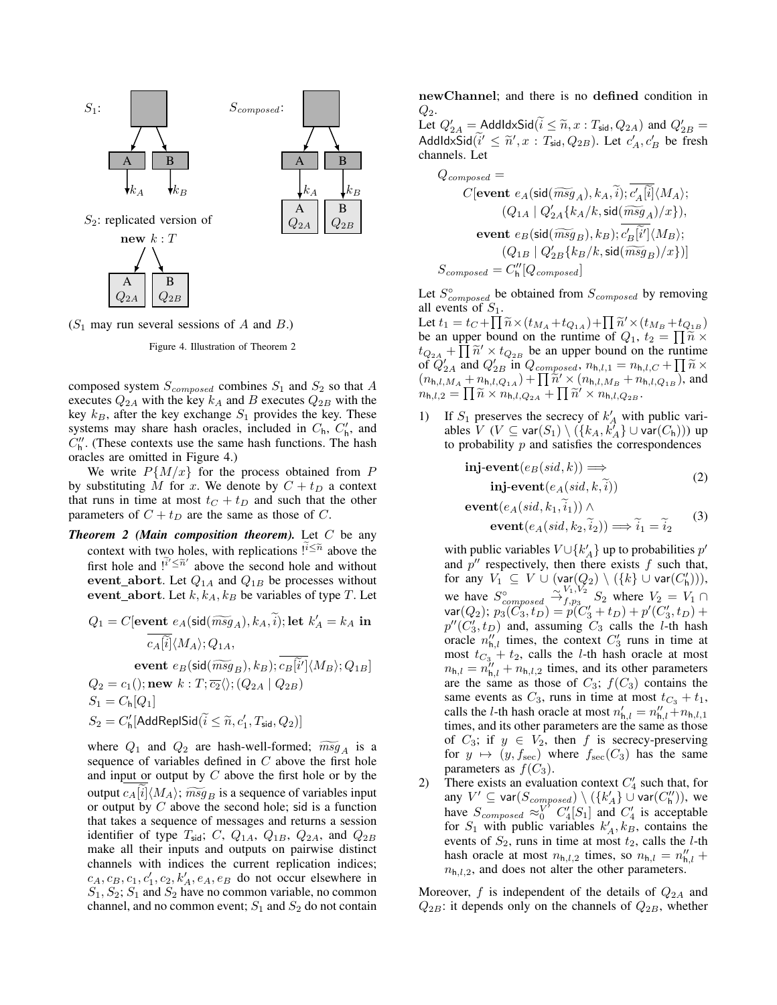

 $(S_1$  may run several sessions of A and B.)

Figure 4. Illustration of Theorem 2

composed system  $S_{composed}$  combines  $S_1$  and  $S_2$  so that A executes  $Q_{2A}$  with the key  $k_A$  and B executes  $Q_{2B}$  with the key  $k_B$ , after the key exchange  $S_1$  provides the key. These systems may share hash oracles, included in  $C_h$ ,  $C'_h$ , and  $C''_h$ . (These contexts use the same hash functions. The hash oracles are omitted in Figure 4.)

We write  $P\{M/x\}$  for the process obtained from P by substituting M for x. We denote by  $C + t_D$  a context that runs in time at most  $t_C + t_D$  and such that the other parameters of  $C + t_D$  are the same as those of C.

*Theorem 2 (Main composition theorem).* Let C be any context with two holes, with replications  $!^{i \leq \tilde{n}}$  above the first hole and  $1^{\tilde{i}' \leq \tilde{n}'}$  above the second hole and without event\_abort. Let  $Q_{1A}$  and  $Q_{1B}$  be processes without event\_abort. Let  $k, k_A, k_B$  be variables of type T. Let

$$
\begin{aligned} Q_1 &= C[\textbf{event }e_A(\text{sid}(\widetilde{msg}_A), k_A, \widetilde{i}); \textbf{let } k'_A = k_A \textbf{ in } \\ & \overline{c_A[\widetilde{i}]} \langle M_A \rangle; Q_{1A}, \\ & \textbf{event }e_B(\text{sid}(\widetilde{msg}_B), k_B); \overline{c_B[\widetilde{i}']} \langle M_B \rangle; Q_{1B}] \\ Q_2 &= c_1(); \textbf{new } k: T; \overline{c_2} \langle \rangle; (Q_{2A} \mid Q_{2B}) \\ S_1 &= C_{\mathsf{h}}[Q_1] \\ S_2 &= C'_{\mathsf{h}}[\text{AddRepIsid}(\widetilde{i} \leq \widetilde{n}, c'_1, T_{\text{sid}}, Q_2)] \end{aligned}
$$

where  $Q_1$  and  $Q_2$  are hash-well-formed;  $\widetilde{msg}_A$  is a sequence of variables defined in  $C$  above the first hole and input or output by  $C$  above the first hole or by the output  $c_A[i]\langle M_A\rangle$ ;  $\widetilde{msg}_B$  is a sequence of variables input or output by  $C$  above the second hole; sid is a function that takes a sequence of messages and returns a session identifier of type  $T_{sid}$ ; C,  $Q_{1A}$ ,  $Q_{1B}$ ,  $Q_{2A}$ , and  $Q_{2B}$ make all their inputs and outputs on pairwise distinct channels with indices the current replication indices;  $c_A, c_B, c_1, c'_1, c_2, k'_A, e_A, e_B$  do not occur elsewhere in  $S_1, S_2; S_1$  and  $S_2$  have no common variable, no common channel, and no common event;  $S_1$  and  $S_2$  do not contain newChannel; and there is no defined condition in  $Q_2$ .

Let  $Q'_{2A} = \text{AddldxSid}(\tilde{i} \leq \tilde{n}, x : T_{\text{sid}}, Q_{2A})$  and  $Q'_{2B} =$ <br>Addidy Sid $(\tilde{i}' \leq \tilde{s}'_1, x : T_{\text{si}}, Q_{\text{ol}})$ . Let  $g'_{\text{ol}}$  is the freeh AddldxSid $(\tilde{i}' \leq \tilde{n}', x : T_{sid}, Q_{2B})$ . Let  $c'_A, c'_B$  be fresh channels Let channels. Let

$$
\begin{aligned} Q_{\textit{composed}} &= \\ C[\textit{event } e_A(\textit{sid}(\widetilde{msg}_A), k_A, \widetilde{i}); \overline{c_A'[\widetilde{i}]} \langle M_A \rangle; \\ & (Q_{1A} \mid Q_{2A}' \{k_A/k, \textit{sid}(\widetilde{msg}_A)/x\}), \\ & \textbf{event } e_B(\textit{sid}(\widetilde{msg}_B), k_B); \overline{c_B'[\widetilde{i}]} \langle M_B \rangle; \\ & (Q_{1B} \mid Q_{2B}' \{k_B/k, \textit{sid}(\widetilde{msg}_B)/x\})] \\ S_{\textit{composed}} &= C''_{\textit{h}}[Q_{\textit{composed}}] \end{aligned}
$$

Let  $S_{composed}^{\circ}$  be obtained from  $S_{composed}$  by removing all events of  $S_1$ .

Let  $t_1 = t_C + \prod_{i} \widetilde{n} \times (t_{MA} + t_{Q_{1A}}) + \prod_{i} \widetilde{n}' \times (t_{M_B} + t_{Q_{1B}})$ <br>be an unper bound on the runtime of  $Q_1, t_2 = \prod_{i} \widetilde{q} \times$ be an upper bound on the runtime of  $Q_1$ ,  $t_2 = \prod \tilde{n} \times$ <br> $t_0 + \prod \tilde{n}' \times t_0$  be an upper bound on the runtime  $t_{Q_{2A}} + \prod_{i=1}^{n} \tilde{n}' \times t_{Q_{2B}}$  be an upper bound on the runtime of  $Q'_{2A}$  and  $Q'_{2B}$  in  $Q_{composed}$ ,  $n_{h,l,1} = n_{h,l,C} + \prod_{l} \widetilde{n} \times$ <br> $(n_{h,l,M} + n_{h,l,O}) + \prod_{l} \widetilde{n}' \times (n_{h,l,M} + n_{h,l,O})$  and  $(n_{h,l,M_A} + n_{h,l,Q_{1A}}) + \prod_{i} \tilde{n}' \times (n_{h,l,M_B} + n_{h,l,Q_{1B}})$ , and<br> $n_{h,l,g} = \prod_{i} \tilde{n}' \times n_{h,l,g} = + \prod_{i} \tilde{n}' \times n_{h,l,g}$  $n_{h,l,2} = \prod \widetilde{n} \times n_{h,l,Q_{2A}} + \prod \widetilde{n}' \times n_{h,l,Q_{2B}}.$ 

1) If  $S_1$  preserves the secrecy of  $k'_A$  with public variables  $V$  ( $V \subseteq \text{var}(S_1) \setminus (\{k_A, k_A^t\} \cup \text{var}(C_{\mathsf{h}})))$  up to probability  $p$  and satisfies the correspondences

$$
\text{inj-event}(e_B(sid, k)) \Longrightarrow \n\text{inj-event}(e_A(sid, k, \tilde{i})) \n\text{event}(e_A(sid, k_1, \tilde{i}_1)) \land \n\text{event}(e_A(sid, k_2, \tilde{i}_2)) \Longrightarrow \tilde{i}_1 = \tilde{i}_2
$$
\n(3)

with public variables  $V \cup \{k'_A\}$  up to probabilities  $p'$ and  $p''$  respectively, then there exists f such that, for any  $V_1 \subseteq V \cup (\text{var}(Q_2) \setminus (\{k\} \cup \text{var}(C'_{\mathsf{h}}))),$ we have  $S_{composed}^{\circ} \xrightarrow{\sim V_1, V_2} f_{,p_3}$  $f_{,p_3}^{V_1,V_2}$   $S_2$  where  $V_2 = V_1 \cap$  $\textsf{var}(Q_2);\ p_3(\overline{C_3},t_D)=p(\overline{C_3'}+t_D)+p'(C_3',t_D)+p'(C_4',t_D),$  $p''(C'_3, t_D)$  and, assuming  $C_3$  calls the *l*-th hash oracle  $n''_{h,l}$  times, the context  $C'_3$  runs in time at most  $t_{C_3} + t_2$ , calls the *l*-th hash oracle at most  $n_{h,l} = n_{h,l}'' + n_{h,l,2}$  times, and its other parameters are the same as those of  $C_3$ ;  $f(C_3)$  contains the same events as  $C_3$ , runs in time at most  $t_{C_3} + t_1$ , calls the *l*-th hash oracle at most  $n'_{h,l} = n''_{h,l} + n_{h,l,1}$ times, and its other parameters are the same as those of  $C_3$ ; if  $y \in V_2$ , then f is secrecy-preserving for  $y \mapsto (y, f_{\text{sec}})$  where  $f_{\text{sec}}(C_3)$  has the same parameters as  $f(\hat{C}_3)$ .

2) There exists an evaluation context  $C_4$  such that, for any  $V' \subseteq \text{var}(S_{composed}) \setminus (\{k'_A\} \cup \text{var}(C''_{\mathsf{h}})),$  we have  $S_{composed} \approx_0^{V'} C_4'[S_1]$  and  $C_4'$  is acceptable for  $S_1$  with public variables  $k'_A, k_B$ , contains the events of  $S_2$ , runs in time at most  $t_2$ , calls the *l*-th hash oracle at most  $n_{h,l,2}$  times, so  $n_{h,l} = n''_{h,l} +$  $n_{h,l,2}$ , and does not alter the other parameters.

Moreover,  $f$  is independent of the details of  $Q_{2A}$  and  $Q_{2B}$ : it depends only on the channels of  $Q_{2B}$ , whether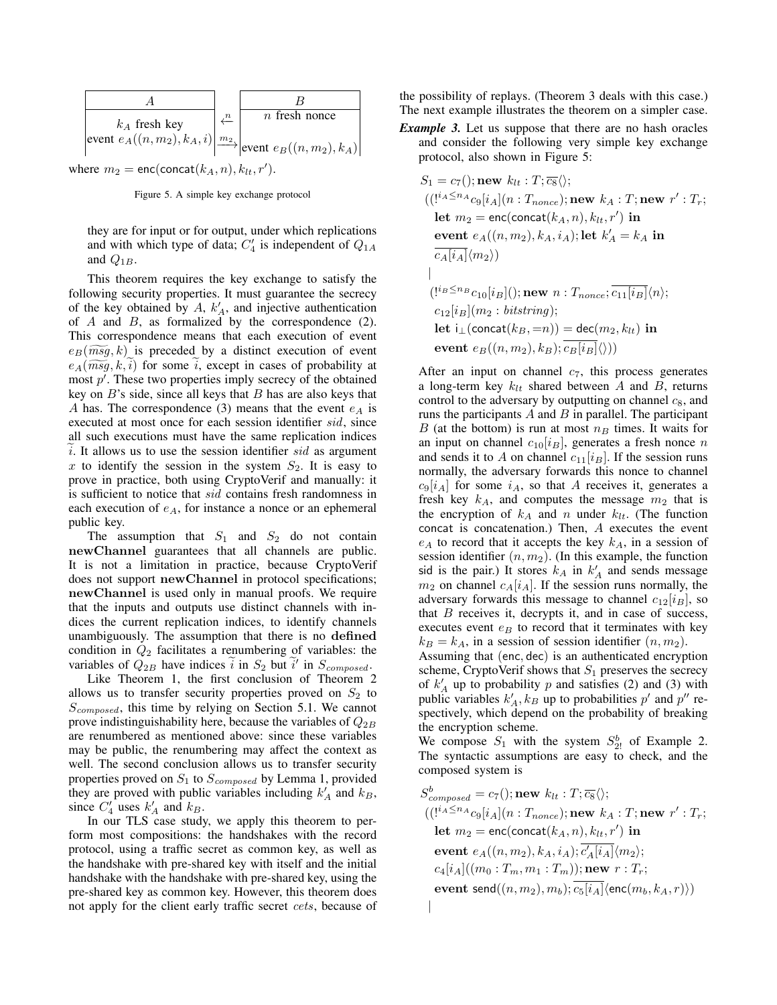

where  $m_2 = \text{enc}(\text{concat}(k_A, n), k_{lt}, r').$ 

Figure 5. A simple key exchange protocol

they are for input or for output, under which replications and with which type of data;  $C_4'$  is independent of  $Q_{1A}$ and  $Q_{1B}$ .

This theorem requires the key exchange to satisfy the following security properties. It must guarantee the secrecy of the key obtained by  $A$ ,  $k'_A$ , and injective authentication of  $A$  and  $B$ , as formalized by the correspondence (2). This correspondence means that each execution of event  $e_B(\widetilde{msg}, k)$  is preceded by a distinct execution of event  $e_A(\widetilde{msg}, k, i)$  for some i, except in cases of probability at most  $p'$ . These two properties imply secrecy of the obtained key on  $B$ 's side, since all keys that  $B$  has are also keys that A has. The correspondence (3) means that the event  $e_A$  is executed at most once for each session identifier sid, since all such executions must have the same replication indices  $i$ . It allows us to use the session identifier  $sid$  as argument x to identify the session in the system  $S_2$ . It is easy to prove in practice, both using CryptoVerif and manually: it is sufficient to notice that sid contains fresh randomness in each execution of  $e_A$ , for instance a nonce or an ephemeral public key.

The assumption that  $S_1$  and  $S_2$  do not contain newChannel guarantees that all channels are public. It is not a limitation in practice, because CryptoVerif does not support newChannel in protocol specifications; newChannel is used only in manual proofs. We require that the inputs and outputs use distinct channels with indices the current replication indices, to identify channels unambiguously. The assumption that there is no defined condition in  $Q_2$  facilitates a renumbering of variables: the variables of  $Q_{2B}$  have indices  $\tilde{i}$  in  $S_2$  but  $\tilde{i}'$  in  $S_{composed}$ .

Like Theorem 1, the first conclusion of Theorem 2 allows us to transfer security properties proved on  $S_2$  to  $S_{composed}$ , this time by relying on Section 5.1. We cannot prove indistinguishability here, because the variables of  $Q_{2B}$ are renumbered as mentioned above: since these variables may be public, the renumbering may affect the context as well. The second conclusion allows us to transfer security properties proved on  $S_1$  to  $S_{composed}$  by Lemma 1, provided they are proved with public variables including  $k'_A$  and  $k_B$ , since  $C'_4$  uses  $k'_A$  and  $k_B$ .

In our TLS case study, we apply this theorem to perform most compositions: the handshakes with the record protocol, using a traffic secret as common key, as well as the handshake with pre-shared key with itself and the initial handshake with the handshake with pre-shared key, using the pre-shared key as common key. However, this theorem does not apply for the client early traffic secret *cets*, because of the possibility of replays. (Theorem 3 deals with this case.) The next example illustrates the theorem on a simpler case.

*Example 3.* Let us suppose that there are no hash oracles and consider the following very simple key exchange protocol, also shown in Figure 5:

$$
S_1 = c_7();
$$
 **new**  $k_{lt} : T; \overline{c_8} \langle \rangle;$   
\n
$$
((\mathbf{I}^{i_A \le n_A} c_9[i_A](n : T_{nonce}); \mathbf{new} \ k_A : T; \mathbf{new} \ r' : T_r;
$$
  
\n**let**  $m_2 = \mathbf{enc}(\mathbf{concat}(k_A, n), k_{lt}, r')$  **in**  
\n**event**  $e_A((n, m_2), k_A, i_A);$ **let**  $k'_A = k_A$  **in**  
\n $\overline{c_A[i_A]} \langle m_2 \rangle)$   
\n|  
\n
$$
(\mathbf{I}^{i_B \le n_B} c_{10}[i_B])(; \mathbf{new} \ n : T_{nonce}; \overline{c_{11}[i_B]} \langle n \rangle;
$$
  
\n $c_{12}[i_B](m_2 : bitstring);$   
\n**let**  $i_{\perp}(\text{concat}(k_B, = n)) = \text{dec}(m_2, k_{lt}) \ \mathbf{in}$   
\n**event**  $e_B((n, m_2), k_B); \overline{c_B[i_B]} \langle \rangle))$ 

After an input on channel  $c_7$ , this process generates a long-term key  $k_{lt}$  shared between A and B, returns control to the adversary by outputting on channel  $c_8$ , and runs the participants  $A$  and  $B$  in parallel. The participant B (at the bottom) is run at most  $n_B$  times. It waits for an input on channel  $c_{10}[i_B]$ , generates a fresh nonce n and sends it to A on channel  $c_{11}[i_B]$ . If the session runs normally, the adversary forwards this nonce to channel  $c_9[i_A]$  for some  $i_A$ , so that A receives it, generates a fresh key  $k_A$ , and computes the message  $m_2$  that is the encryption of  $k_A$  and n under  $k_{lt}$ . (The function concat is concatenation.) Then, A executes the event  $e_A$  to record that it accepts the key  $k_A$ , in a session of session identifier  $(n, m<sub>2</sub>)$ . (In this example, the function sid is the pair.) It stores  $k_A$  in  $k'_A$  and sends message  $m_2$  on channel  $c_A[i_A]$ . If the session runs normally, the adversary forwards this message to channel  $c_{12}[i_B]$ , so that  $B$  receives it, decrypts it, and in case of success, executes event  $e_B$  to record that it terminates with key  $k_B = k_A$ , in a session of session identifier  $(n, m_2)$ .

Assuming that (enc, dec) is an authenticated encryption scheme, CryptoVerif shows that  $S_1$  preserves the secrecy of  $k'_A$  up to probability p and satisfies (2) and (3) with public variables  $k'_A$ ,  $k_B$  up to probabilities  $p'$  and  $p''$  respectively, which depend on the probability of breaking the encryption scheme.

We compose  $S_1$  with the system  $S_{2}^b$  of Example 2. The syntactic assumptions are easy to check, and the composed system is

 $\mathbf{r}$ 

$$
S_{composed}^{b} = c_{7}(); \text{new } k_{lt}: T; \overline{c_{8}}\langle);
$$
  
\n
$$
((\mathbf{I}^{i_{A} \le n_{A}} c_{9}[i_{A}](n : T_{nonce}); \text{new } k_{A} : T; \text{new } r' : T_{r};
$$
  
\nlet  $m_{2} = \text{enc}(\text{concat}(k_{A}, n), k_{lt}, r')$  in  
\nevent  $e_{A}((n, m_{2}), k_{A}, i_{A}); \overline{c'_{A}[i_{A}]} \langle m_{2} \rangle;$   
\n $c_{4}[i_{A}]((m_{0} : T_{m}, m_{1} : T_{m})); \text{new } r : T_{r};$   
\nevent send $((n, m_{2}), m_{b}); \overline{c_{5}[i_{A}]} \langle \text{enc}(m_{b}, k_{A}, r) \rangle)$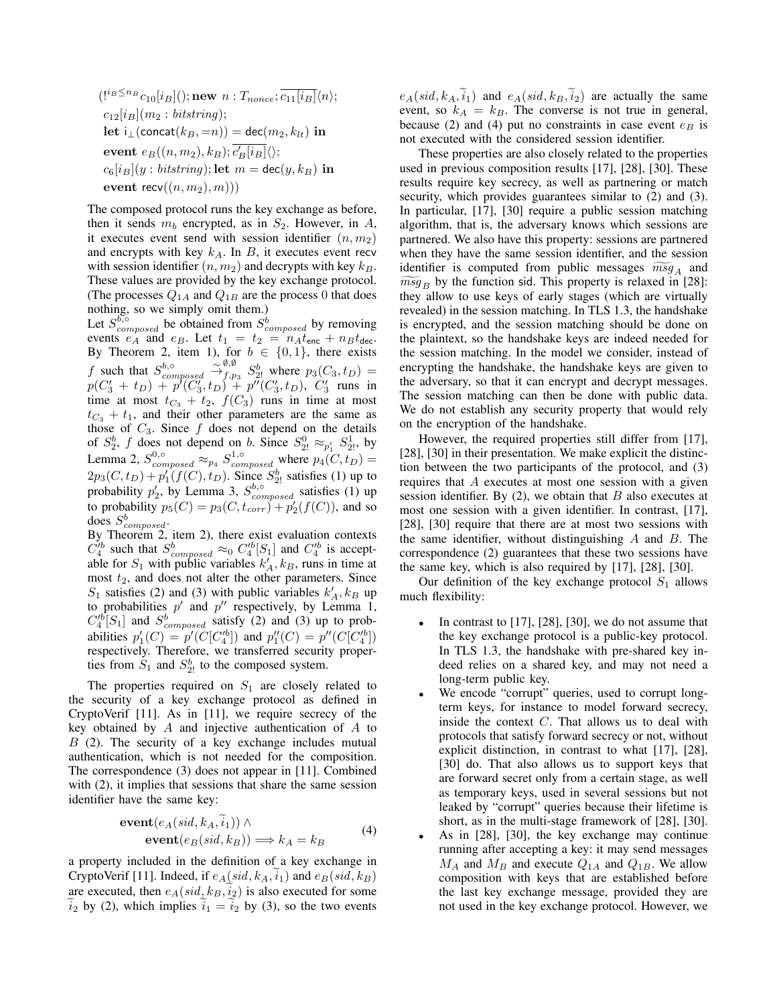$$
(\begin{aligned}\n(\begin{matrix} {}^{1}B \leq n_B & c_{10}[i_B]( \cdot ) \text{; new } n : T_{nonce}; \overline{c_{11}[i_B]} \langle n \rangle \\ {}^{c_{12}[i_B]}(m_2 : \text{bitstring}); \end{matrix} \\
\text{let } \mathbf{i}_{\perp}(\text{concat}(k_B, = n)) = \text{dec}(m_2, k_{lt}) \text{ in} \\
\text{event } e_B((n, m_2), k_B); \overline{c'_B[i_B]} \langle \rangle; \\
c_6[i_B](y : \text{bitstring}); \text{let } m = \text{dec}(y, k_B) \text{ in} \\
\text{event } \text{recv}((n, m_2), m)))\n\end{aligned}
$$

The composed protocol runs the key exchange as before, then it sends  $m_b$  encrypted, as in  $S_2$ . However, in A, it executes event send with session identifier  $(n, m<sub>2</sub>)$ and encrypts with key  $k_A$ . In B, it executes event recv with session identifier  $(n, m_2)$  and decrypts with key  $k_B$ . These values are provided by the key exchange protocol. (The processes  $Q_{1A}$  and  $Q_{1B}$  are the process 0 that does nothing, so we simply omit them.)

Let  $S_{composed}^{b,\circ}$  be obtained from  $S_{composed}^{b}$  by removing events  $e_A$  and  $e_B$ . Let  $t_1 = t_2 = n_A t_{\text{enc}} + n_B t_{\text{dec}}$ . By Theorem 2, item 1), for  $b \in \{0,1\}$ , there exists f such that  $S_{composed}^{b,\circ} \rightarrow f,p$  $f_{,p_3}^{v,v}$   $S_{2!}^b$  where  $p_3(C_3,t_D)$  =  $p(C_3' + t_D) + p'(C_3', t_D) + p''(C_3', t_D), C_3'$  runs in time at most  $t_{C_3} + t_2$ ,  $f(C_3)$  runs in time at most  $t_{C_3} + t_1$ , and their other parameters are the same as those of  $C_3$ . Since  $f$  does not depend on the details of  $S_2^b$ , f does not depend on b. Since  $S_{2!}^0 \approx_{p'_1} S_{2!}^1$ , by Lemma 2,  $S_{composed}^{0,0} \approx_{p_4} S_{composed}^{1,0}$  where  $p_4(C, t_D) =$  $2p_3(C, t_D) + p'_1(f(C), t_D)$ . Since  $S_{2!}^b$  satisfies (1) up to probability  $p'_2$ , by Lemma 3,  $S_{composed}^{b,\circ}$  satisfies (1) up to probability  $p_5(C) = p_3(C, t_{corr}) + p'_2(f(C))$ , and so  $\mathrm{does}\; S_{composed}^b.$ 

By Theorem 2, item 2), there exist evaluation contexts  $C_4^{lb}$  such that  $S_{composed}^b \approx_0 C_4^{lb} [S_1]$  and  $C_4^{lb}$  is acceptable for  $S_1$  with public variables  $k'_A$ ,  $k_B$ , runs in time at most  $t_2$ , and does not alter the other parameters. Since  $S_1$  satisfies (2) and (3) with public variables  $k'_A$ ,  $k_B$  up to probabilities  $p'$  and  $p''$  respectively, by Lemma 1,  $C_4^{\prime b}$ [S<sub>1</sub>] and  $S_{composed}^b$  satisfy (2) and (3) up to probabilities  $p'_1(C) = p'(C[C_4''])$  and  $p''_1(C) = p''(C[C_4''])$ respectively. Therefore, we transferred security properties from  $S_1$  and  $S_2^b$  to the composed system.

The properties required on  $S_1$  are closely related to the security of a key exchange protocol as defined in CryptoVerif [11]. As in [11], we require secrecy of the key obtained by A and injective authentication of A to B (2). The security of a key exchange includes mutual authentication, which is not needed for the composition. The correspondence (3) does not appear in [11]. Combined with (2), it implies that sessions that share the same session identifier have the same key:

$$
\begin{aligned} \textbf{event}(e_A(sid, k_A, \tilde{i}_1)) \wedge \\ \textbf{event}(e_B(sid, k_B)) &\Longrightarrow k_A = k_B \end{aligned} \tag{4}
$$

a property included in the definition of a key exchange in CryptoVerif [11]. Indeed, if  $e_A(sid, k_A, i_1)$  and  $e_B(sid, k_B)$ are executed, then  $e_A(sid_k k_B, i_2)$  is also executed for some  $i_2$  by (2), which implies  $i_1 = i_2$  by (3), so the two events  $e_A(sid, k_A, \tilde{i}_1)$  and  $e_A(sid, k_B, \tilde{i}_2)$  are actually the same event, so  $k_A = k_B$ . The converse is not true in general, because (2) and (4) put no constraints in case event  $e_B$  is not executed with the considered session identifier.

These properties are also closely related to the properties used in previous composition results [17], [28], [30]. These results require key secrecy, as well as partnering or match security, which provides guarantees similar to  $(2)$  and  $(3)$ . In particular, [17], [30] require a public session matching algorithm, that is, the adversary knows which sessions are partnered. We also have this property: sessions are partnered when they have the same session identifier, and the session identifier is computed from public messages  $\widetilde{msg}_A$  and  $\widetilde{msg}_B$  by the function sid. This property is relaxed in [28]: they allow to use keys of early stages (which are virtually revealed) in the session matching. In TLS 1.3, the handshake is encrypted, and the session matching should be done on the plaintext, so the handshake keys are indeed needed for the session matching. In the model we consider, instead of encrypting the handshake, the handshake keys are given to the adversary, so that it can encrypt and decrypt messages. The session matching can then be done with public data. We do not establish any security property that would rely on the encryption of the handshake.

However, the required properties still differ from [17], [28], [30] in their presentation. We make explicit the distinction between the two participants of the protocol, and (3) requires that A executes at most one session with a given session identifier. By  $(2)$ , we obtain that B also executes at most one session with a given identifier. In contrast, [17], [28], [30] require that there are at most two sessions with the same identifier, without distinguishing  $A$  and  $B$ . The correspondence (2) guarantees that these two sessions have the same key, which is also required by [17], [28], [30].

Our definition of the key exchange protocol  $S_1$  allows much flexibility:

- In contrast to  $[17]$ ,  $[28]$ ,  $[30]$ , we do not assume that the key exchange protocol is a public-key protocol. In TLS 1.3, the handshake with pre-shared key indeed relies on a shared key, and may not need a long-term public key.
- We encode "corrupt" queries, used to corrupt longterm keys, for instance to model forward secrecy, inside the context C. That allows us to deal with protocols that satisfy forward secrecy or not, without explicit distinction, in contrast to what [17], [28], [30] do. That also allows us to support keys that are forward secret only from a certain stage, as well as temporary keys, used in several sessions but not leaked by "corrupt" queries because their lifetime is short, as in the multi-stage framework of [28], [30].
- As in [28], [30], the key exchange may continue running after accepting a key: it may send messages  $M_A$  and  $M_B$  and execute  $Q_{1A}$  and  $Q_{1B}$ . We allow composition with keys that are established before the last key exchange message, provided they are not used in the key exchange protocol. However, we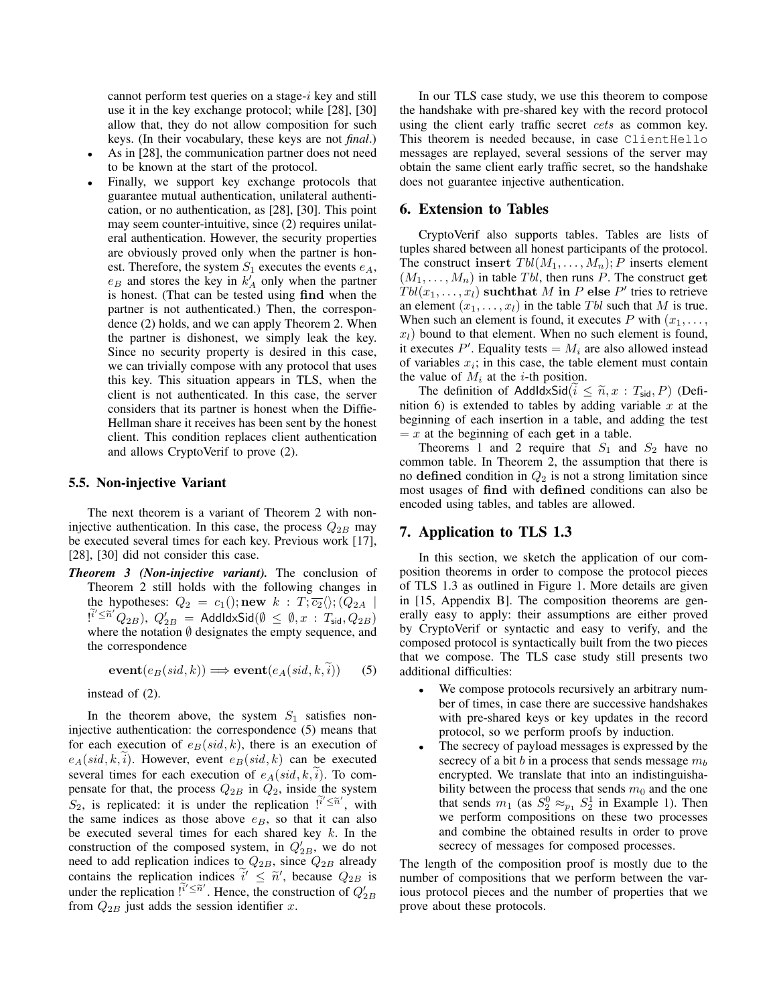cannot perform test queries on a stage- $i$  key and still use it in the key exchange protocol; while [28], [30] allow that, they do not allow composition for such keys. (In their vocabulary, these keys are not *final*.)

- As in [28], the communication partner does not need to be known at the start of the protocol.
- Finally, we support key exchange protocols that guarantee mutual authentication, unilateral authentication, or no authentication, as [28], [30]. This point may seem counter-intuitive, since (2) requires unilateral authentication. However, the security properties are obviously proved only when the partner is honest. Therefore, the system  $S_1$  executes the events  $e_A$ ,  $e_B$  and stores the key in  $k'_A$  only when the partner is honest. (That can be tested using find when the partner is not authenticated.) Then, the correspondence (2) holds, and we can apply Theorem 2. When the partner is dishonest, we simply leak the key. Since no security property is desired in this case, we can trivially compose with any protocol that uses this key. This situation appears in TLS, when the client is not authenticated. In this case, the server considers that its partner is honest when the Diffie-Hellman share it receives has been sent by the honest client. This condition replaces client authentication and allows CryptoVerif to prove (2).

#### 5.5. Non-injective Variant

The next theorem is a variant of Theorem 2 with noninjective authentication. In this case, the process  $Q_{2B}$  may be executed several times for each key. Previous work [17], [28], [30] did not consider this case.

*Theorem 3 (Non-injective variant).* The conclusion of Theorem 2 still holds with the following changes in the hypotheses:  $Q_2 = c_1(i)$ ; new  $k : T; \overline{c_2}\langle \rangle$ ;  $(Q_{2A} |$  $\mathbb{P}^{i'\leq\widetilde{n}'}Q_{2B}), \ Q'_{2B}\ =\ \mathsf{AddldxStd}(\emptyset\ \leq\ \emptyset, x\ :\ T_{\mathsf{sid}},Q_{2B})$ where the notation  $\emptyset$  designates the empty sequence, and the correspondence

 $event(e_B(sid, k)) \Longrightarrow event(e_A(sid, k, \tilde{i}))$  (5)

instead of (2).

In the theorem above, the system  $S_1$  satisfies noninjective authentication: the correspondence (5) means that for each execution of  $e_B(sid, k)$ , there is an execution of  $e_A(sid, k, i)$ . However, event  $e_B(sid, k)$  can be executed several times for each execution of  $e_A(sid, k, \tilde{i})$ . To compensate for that, the process  $Q_{2B}$  in  $Q_2$ , inside the system  $S_2$ , is replicated: it is under the replication  $\tilde{i}' \leq \tilde{n}'$ , with the same indices as those above  $e_B$ , so that it can also be executed several times for each shared key  $k$ . In the construction of the composed system, in  $Q'_{2B}$ , we do not need to add replication indices to  $Q_{2B}$ , since  $Q_{2B}$  already contains the replication indices  $\tilde{i}' \leq \tilde{n}'$ , because  $Q_{2B}$  is under the replication  $\tilde{i}' \tilde{i}' \leq \tilde{n}'$ . Hence, the construction of  $O'$ under the replication  $\left| \tilde{i}' \leq \tilde{n}' \right|$ . Hence, the construction of  $Q'_{2B}$ from  $Q_{2B}$  just adds the session identifier x.

In our TLS case study, we use this theorem to compose the handshake with pre-shared key with the record protocol using the client early traffic secret cets as common key. This theorem is needed because, in case ClientHello messages are replayed, several sessions of the server may obtain the same client early traffic secret, so the handshake does not guarantee injective authentication.

# 6. Extension to Tables

CryptoVerif also supports tables. Tables are lists of tuples shared between all honest participants of the protocol. The construct insert  $Tbl(M_1, \ldots, M_n); P$  inserts element  $(M_1, \ldots, M_n)$  in table Tbl, then runs P. The construct get  $Tbl(x_1,\ldots,x_l)$  such that  $M$  in  $P$  else  $P'$  tries to retrieve an element  $(x_1, \ldots, x_l)$  in the table Tbl such that M is true. When such an element is found, it executes P with  $(x_1, \ldots,$  $x_l$ ) bound to that element. When no such element is found, it executes P'. Equality tests =  $M_i$  are also allowed instead of variables  $x_i$ ; in this case, the table element must contain the value of  $M_i$  at the *i*-th position.

The definition of AddIdxSid( $i \leq \tilde{n}, x : T_{\text{sid}}, P$ ) (Definition 6) is extended to tables by adding variable  $x$  at the beginning of each insertion in a table, and adding the test  $= x$  at the beginning of each get in a table.

Theorems 1 and 2 require that  $S_1$  and  $S_2$  have no common table. In Theorem 2, the assumption that there is no defined condition in  $Q_2$  is not a strong limitation since most usages of find with defined conditions can also be encoded using tables, and tables are allowed.

## 7. Application to TLS 1.3

In this section, we sketch the application of our composition theorems in order to compose the protocol pieces of TLS 1.3 as outlined in Figure 1. More details are given in [15, Appendix B]. The composition theorems are generally easy to apply: their assumptions are either proved by CryptoVerif or syntactic and easy to verify, and the composed protocol is syntactically built from the two pieces that we compose. The TLS case study still presents two additional difficulties:

- We compose protocols recursively an arbitrary number of times, in case there are successive handshakes with pre-shared keys or key updates in the record protocol, so we perform proofs by induction.
- The secrecy of payload messages is expressed by the secrecy of a bit b in a process that sends message  $m_b$ encrypted. We translate that into an indistinguishability between the process that sends  $m_0$  and the one that sends  $m_1$  (as  $S_2^0 \approx_{p_1} S_2^1$  in Example 1). Then we perform compositions on these two processes and combine the obtained results in order to prove secrecy of messages for composed processes.

The length of the composition proof is mostly due to the number of compositions that we perform between the various protocol pieces and the number of properties that we prove about these protocols.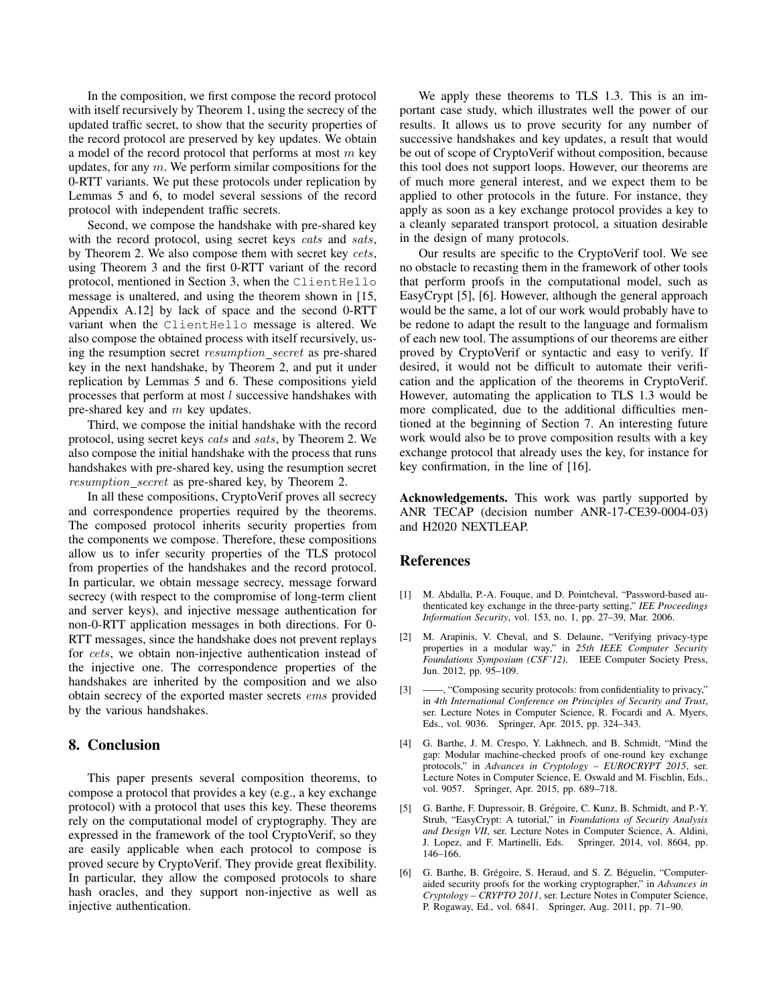In the composition, we first compose the record protocol with itself recursively by Theorem 1, using the secrecy of the updated traffic secret, to show that the security properties of the record protocol are preserved by key updates. We obtain a model of the record protocol that performs at most  $m$  key updates, for any  $m$ . We perform similar compositions for the 0-RTT variants. We put these protocols under replication by Lemmas 5 and 6, to model several sessions of the record protocol with independent traffic secrets.

Second, we compose the handshake with pre-shared key with the record protocol, using secret keys *cats* and *sats*, by Theorem 2. We also compose them with secret key cets, using Theorem 3 and the first 0-RTT variant of the record protocol, mentioned in Section 3, when the ClientHello message is unaltered, and using the theorem shown in [15, Appendix A.12] by lack of space and the second 0-RTT variant when the ClientHello message is altered. We also compose the obtained process with itself recursively, using the resumption secret *resumption\_secret* as pre-shared key in the next handshake, by Theorem 2, and put it under replication by Lemmas 5 and 6. These compositions yield processes that perform at most l successive handshakes with pre-shared key and  $m$  key updates.

Third, we compose the initial handshake with the record protocol, using secret keys cats and sats, by Theorem 2. We also compose the initial handshake with the process that runs handshakes with pre-shared key, using the resumption secret resumption\_secret as pre-shared key, by Theorem 2.

In all these compositions, CryptoVerif proves all secrecy and correspondence properties required by the theorems. The composed protocol inherits security properties from the components we compose. Therefore, these compositions allow us to infer security properties of the TLS protocol from properties of the handshakes and the record protocol. In particular, we obtain message secrecy, message forward secrecy (with respect to the compromise of long-term client and server keys), and injective message authentication for non-0-RTT application messages in both directions. For 0- RTT messages, since the handshake does not prevent replays for cets, we obtain non-injective authentication instead of the injective one. The correspondence properties of the handshakes are inherited by the composition and we also obtain secrecy of the exported master secrets ems provided by the various handshakes.

# 8. Conclusion

This paper presents several composition theorems, to compose a protocol that provides a key (e.g., a key exchange protocol) with a protocol that uses this key. These theorems rely on the computational model of cryptography. They are expressed in the framework of the tool CryptoVerif, so they are easily applicable when each protocol to compose is proved secure by CryptoVerif. They provide great flexibility. In particular, they allow the composed protocols to share hash oracles, and they support non-injective as well as injective authentication.

We apply these theorems to TLS 1.3. This is an important case study, which illustrates well the power of our results. It allows us to prove security for any number of successive handshakes and key updates, a result that would be out of scope of CryptoVerif without composition, because this tool does not support loops. However, our theorems are of much more general interest, and we expect them to be applied to other protocols in the future. For instance, they apply as soon as a key exchange protocol provides a key to a cleanly separated transport protocol, a situation desirable in the design of many protocols.

Our results are specific to the CryptoVerif tool. We see no obstacle to recasting them in the framework of other tools that perform proofs in the computational model, such as EasyCrypt [5], [6]. However, although the general approach would be the same, a lot of our work would probably have to be redone to adapt the result to the language and formalism of each new tool. The assumptions of our theorems are either proved by CryptoVerif or syntactic and easy to verify. If desired, it would not be difficult to automate their verification and the application of the theorems in CryptoVerif. However, automating the application to TLS 1.3 would be more complicated, due to the additional difficulties mentioned at the beginning of Section 7. An interesting future work would also be to prove composition results with a key exchange protocol that already uses the key, for instance for key confirmation, in the line of [16].

Acknowledgements. This work was partly supported by ANR TECAP (decision number ANR-17-CE39-0004-03) and H2020 NEXTLEAP.

#### References

- [1] M. Abdalla, P.-A. Fouque, and D. Pointcheval, "Password-based authenticated key exchange in the three-party setting," *IEE Proceedings Information Security*, vol. 153, no. 1, pp. 27–39, Mar. 2006.
- [2] M. Arapinis, V. Cheval, and S. Delaune, "Verifying privacy-type properties in a modular way," in *25th IEEE Computer Security Foundations Symposium (CSF'12)*. IEEE Computer Society Press, Jun. 2012, pp. 95–109.
- [3] ——, "Composing security protocols: from confidentiality to privacy," in *4th International Conference on Principles of Security and Trust*, ser. Lecture Notes in Computer Science, R. Focardi and A. Myers, Eds., vol. 9036. Springer, Apr. 2015, pp. 324–343.
- [4] G. Barthe, J. M. Crespo, Y. Lakhnech, and B. Schmidt, "Mind the gap: Modular machine-checked proofs of one-round key exchange protocols," in *Advances in Cryptology – EUROCRYPT 2015*, ser. Lecture Notes in Computer Science, E. Oswald and M. Fischlin, Eds., vol. 9057. Springer, Apr. 2015, pp. 689–718.
- [5] G. Barthe, F. Dupressoir, B. Grégoire, C. Kunz, B. Schmidt, and P.-Y. Strub, "EasyCrypt: A tutorial," in *Foundations of Security Analysis and Design VII*, ser. Lecture Notes in Computer Science, A. Aldini, J. Lopez, and F. Martinelli, Eds. Springer, 2014, vol. 8604, pp. 146–166.
- [6] G. Barthe, B. Grégoire, S. Heraud, and S. Z. Béguelin, "Computeraided security proofs for the working cryptographer," in *Advances in Cryptology – CRYPTO 2011*, ser. Lecture Notes in Computer Science, P. Rogaway, Ed., vol. 6841. Springer, Aug. 2011, pp. 71–90.